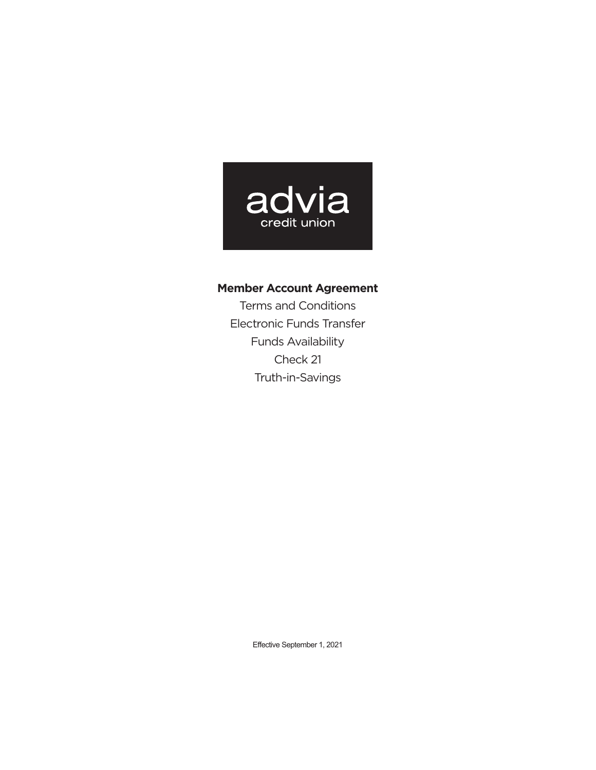

**Member Account Agreement** Terms and Conditions Electronic Funds Transfer Funds Availability Check 21 Truth-in-Savings

Effective September 1, 2021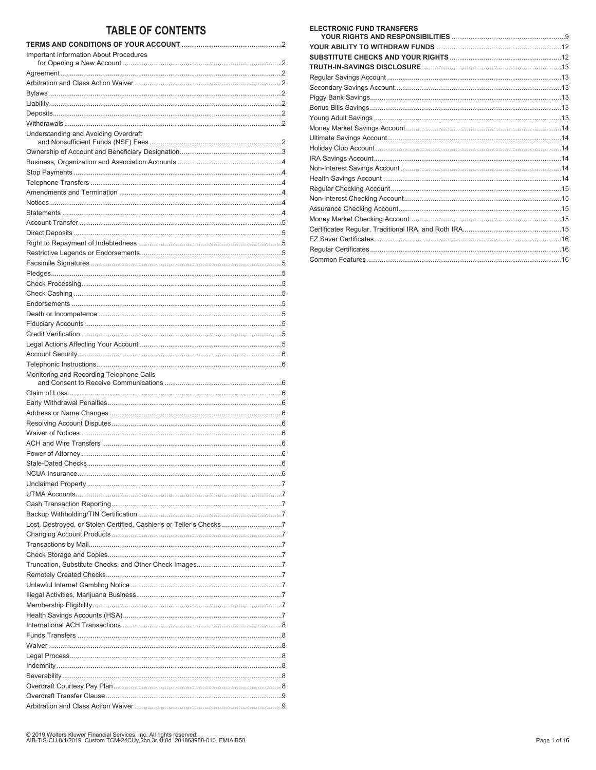# **TABLE OF CONTENTS**

| <b>Important Information About Procedures</b>                       |  |
|---------------------------------------------------------------------|--|
|                                                                     |  |
|                                                                     |  |
|                                                                     |  |
|                                                                     |  |
|                                                                     |  |
|                                                                     |  |
|                                                                     |  |
| Understanding and Avoiding Overdraft                                |  |
|                                                                     |  |
|                                                                     |  |
|                                                                     |  |
|                                                                     |  |
|                                                                     |  |
|                                                                     |  |
|                                                                     |  |
|                                                                     |  |
|                                                                     |  |
|                                                                     |  |
|                                                                     |  |
|                                                                     |  |
|                                                                     |  |
|                                                                     |  |
|                                                                     |  |
|                                                                     |  |
|                                                                     |  |
|                                                                     |  |
|                                                                     |  |
|                                                                     |  |
|                                                                     |  |
|                                                                     |  |
|                                                                     |  |
|                                                                     |  |
| Monitoring and Recording Telephone Calls                            |  |
|                                                                     |  |
|                                                                     |  |
|                                                                     |  |
|                                                                     |  |
|                                                                     |  |
|                                                                     |  |
|                                                                     |  |
|                                                                     |  |
|                                                                     |  |
|                                                                     |  |
|                                                                     |  |
|                                                                     |  |
|                                                                     |  |
| Lost, Destroyed, or Stolen Certified, Cashier's or Teller's Checks7 |  |
|                                                                     |  |
|                                                                     |  |
|                                                                     |  |
|                                                                     |  |
|                                                                     |  |
|                                                                     |  |
|                                                                     |  |
|                                                                     |  |
|                                                                     |  |
|                                                                     |  |
|                                                                     |  |
|                                                                     |  |
|                                                                     |  |
|                                                                     |  |
|                                                                     |  |
|                                                                     |  |
|                                                                     |  |
|                                                                     |  |
|                                                                     |  |

| <b>ELECTRONIC FUND TRANSFERS</b> |  |
|----------------------------------|--|
|                                  |  |
|                                  |  |
|                                  |  |
|                                  |  |
|                                  |  |
|                                  |  |
|                                  |  |
|                                  |  |
|                                  |  |
|                                  |  |
|                                  |  |
|                                  |  |
|                                  |  |
|                                  |  |
|                                  |  |
|                                  |  |
|                                  |  |
|                                  |  |
|                                  |  |
|                                  |  |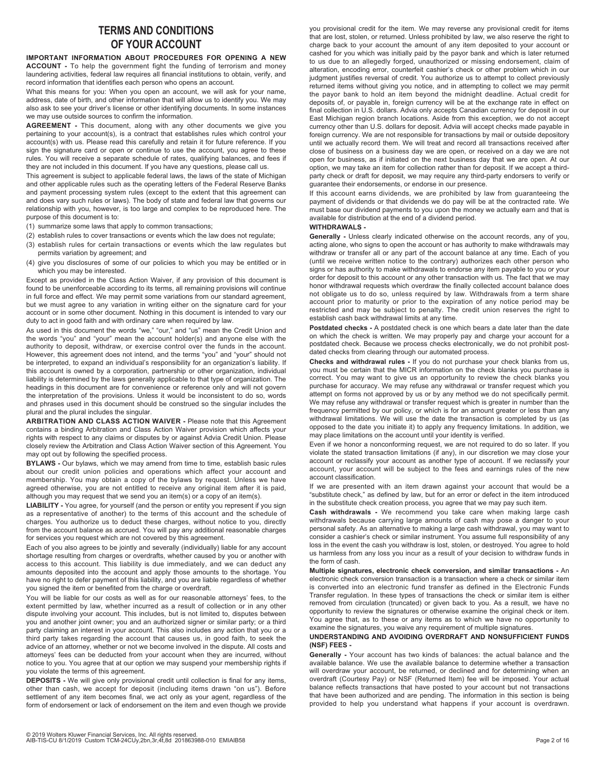# **TERMS AND CONDITIONS OF YOUR ACCOUNT**

**IMPORTANT INFORMATION ABOUT PROCEDURES FOR OPENING A NEW ACCOUNT -** To help the government fight the funding of terrorism and money laundering activities, federal law requires all financial institutions to obtain, verify, and record information that identifies each person who opens an account.

What this means for you: When you open an account, we will ask for your name, address, date of birth, and other information that will allow us to identify you. We may also ask to see your driver's license or other identifying documents. In some instances we may use outside sources to confirm the information.

**AGREEMENT -** This document, along with any other documents we give you pertaining to your account(s), is a contract that establishes rules which control your account(s) with us. Please read this carefully and retain it for future reference. If you sign the signature card or open or continue to use the account, you agree to these rules. You will receive a separate schedule of rates, qualifying balances, and fees if they are not included in this document. If you have any questions, please call us.

This agreement is subject to applicable federal laws, the laws of the state of Michigan and other applicable rules such as the operating letters of the Federal Reserve Banks and payment processing system rules (except to the extent that this agreement can and does vary such rules or laws). The body of state and federal law that governs our relationship with you, however, is too large and complex to be reproduced here. The purpose of this document is to:

- (1) summarize some laws that apply to common transactions;
- (2) establish rules to cover transactions or events which the law does not regulate;
- (3) establish rules for certain transactions or events which the law regulates but permits variation by agreement; and
- (4) give you disclosures of some of our policies to which you may be entitled or in which you may be interested.

Except as provided in the Class Action Waiver, if any provision of this document is found to be unenforceable according to its terms, all remaining provisions will continue in full force and effect. We may permit some variations from our standard agreement, but we must agree to any variation in writing either on the signature card for your account or in some other document. Nothing in this document is intended to vary our duty to act in good faith and with ordinary care when required by law.

As used in this document the words "we," "our," and "us" mean the Credit Union and the words "you" and "your" mean the account holder(s) and anyone else with the authority to deposit, withdraw, or exercise control over the funds in the account. However, this agreement does not intend, and the terms "you" and "your" should not be interpreted, to expand an individual's responsibility for an organization's liability. If this account is owned by a corporation, partnership or other organization, individual liability is determined by the laws generally applicable to that type of organization. The headings in this document are for convenience or reference only and will not govern the interpretation of the provisions. Unless it would be inconsistent to do so, words and phrases used in this document should be construed so the singular includes the plural and the plural includes the singular.

**ARBITRATION AND CLASS ACTION WAIVER -** Please note that this Agreement contains a binding Arbitration and Class Action Waiver provision which affects your rights with respect to any claims or disputes by or against Advia Credit Union. Please closely review the Arbitration and Class Action Waiver section of this Agreement. You may opt out by following the specified process.

**BYLAWS -** Our bylaws, which we may amend from time to time, establish basic rules about our credit union policies and operations which affect your account and membership. You may obtain a copy of the bylaws by request. Unless we have agreed otherwise, you are not entitled to receive any original item after it is paid, although you may request that we send you an item(s) or a copy of an item(s).

**LIABILITY -** You agree, for yourself (and the person or entity you represent if you sign as a representative of another) to the terms of this account and the schedule of charges. You authorize us to deduct these charges, without notice to you, directly from the account balance as accrued. You will pay any additional reasonable charges for services you request which are not covered by this agreement.

Each of you also agrees to be jointly and severally (individually) liable for any account shortage resulting from charges or overdrafts, whether caused by you or another with access to this account. This liability is due immediately, and we can deduct any amounts deposited into the account and apply those amounts to the shortage. You have no right to defer payment of this liability, and you are liable regardless of whether you signed the item or benefited from the charge or overdraft.

You will be liable for our costs as well as for our reasonable attorneys' fees, to the extent permitted by law, whether incurred as a result of collection or in any other dispute involving your account. This includes, but is not limited to, disputes between you and another joint owner; you and an authorized signer or similar party; or a third party claiming an interest in your account. This also includes any action that you or a third party takes regarding the account that causes us, in good faith, to seek the advice of an attorney, whether or not we become involved in the dispute. All costs and attorneys' fees can be deducted from your account when they are incurred, without notice to you. You agree that at our option we may suspend your membership rights if you violate the terms of this agreement.

**DEPOSITS -** We will give only provisional credit until collection is final for any items, other than cash, we accept for deposit (including items drawn "on us"). Before settlement of any item becomes final, we act only as your agent, regardless of the form of endorsement or lack of endorsement on the item and even though we provide you provisional credit for the item. We may reverse any provisional credit for items that are lost, stolen, or returned. Unless prohibited by law, we also reserve the right to charge back to your account the amount of any item deposited to your account or cashed for you which was initially paid by the payor bank and which is later returned to us due to an allegedly forged, unauthorized or missing endorsement, claim of alteration, encoding error, counterfeit cashier's check or other problem which in our judgment justifies reversal of credit. You authorize us to attempt to collect previously returned items without giving you notice, and in attempting to collect we may permit the payor bank to hold an item beyond the midnight deadline. Actual credit for deposits of, or payable in, foreign currency will be at the exchange rate in effect on final collection in U.S. dollars. Advia only accepts Canadian currency for deposit in our East Michigan region branch locations. Aside from this exception, we do not accept currency other than U.S. dollars for deposit. Advia will accept checks made payable in foreign currency. We are not responsible for transactions by mail or outside depository until we actually record them. We will treat and record all transactions received after close of business on a business day we are open, or received on a day we are not open for business, as if initiated on the next business day that we are open. At our option, we may take an item for collection rather than for deposit. If we accept a thirdparty check or draft for deposit, we may require any third-party endorsers to verify or guarantee their endorsements, or endorse in our presence.

If this account earns dividends, we are prohibited by law from guaranteeing the payment of dividends or that dividends we do pay will be at the contracted rate. We must base our dividend payments to you upon the money we actually earn and that is available for distribution at the end of a dividend period.

### **WITHDRAWALS -**

**Generally -** Unless clearly indicated otherwise on the account records, any of you, acting alone, who signs to open the account or has authority to make withdrawals may withdraw or transfer all or any part of the account balance at any time. Each of you (until we receive written notice to the contrary) authorizes each other person who signs or has authority to make withdrawals to endorse any item payable to you or your order for deposit to this account or any other transaction with us. The fact that we may honor withdrawal requests which overdraw the finally collected account balance does not obligate us to do so, unless required by law. Withdrawals from a term share account prior to maturity or prior to the expiration of any notice period may be restricted and may be subject to penalty. The credit union reserves the right to establish cash back withdrawal limits at any time.

**Postdated checks -** A postdated check is one which bears a date later than the date on which the check is written. We may properly pay and charge your account for a postdated check. Because we process checks electronically, we do not prohibit postdated checks from clearing through our automated process.

**Checks and withdrawal rules -** If you do not purchase your check blanks from us, you must be certain that the MICR information on the check blanks you purchase is correct. You may want to give us an opportunity to review the check blanks you purchase for accuracy. We may refuse any withdrawal or transfer request which you attempt on forms not approved by us or by any method we do not specifically permit. We may refuse any withdrawal or transfer request which is greater in number than the frequency permitted by our policy, or which is for an amount greater or less than any withdrawal limitations. We will use the date the transaction is completed by us (as opposed to the date you initiate it) to apply any frequency limitations. In addition, we may place limitations on the account until your identity is verified.

Even if we honor a nonconforming request, we are not required to do so later. If you violate the stated transaction limitations (if any), in our discretion we may close your account or reclassify your account as another type of account. If we reclassify your account, your account will be subject to the fees and earnings rules of the new account classification.

If we are presented with an item drawn against your account that would be a "substitute check," as defined by law, but for an error or defect in the item introduced in the substitute check creation process, you agree that we may pay such item.

**Cash withdrawals -** We recommend you take care when making large cash withdrawals because carrying large amounts of cash may pose a danger to your personal safety. As an alternative to making a large cash withdrawal, you may want to consider a cashier's check or similar instrument. You assume full responsibility of any loss in the event the cash you withdraw is lost, stolen, or destroyed. You agree to hold us harmless from any loss you incur as a result of your decision to withdraw funds in the form of cash.

**Multiple signatures, electronic check conversion, and similar transactions -** An electronic check conversion transaction is a transaction where a check or similar item is converted into an electronic fund transfer as defined in the Electronic Funds Transfer regulation. In these types of transactions the check or similar item is either removed from circulation (truncated) or given back to you. As a result, we have no opportunity to review the signatures or otherwise examine the original check or item. You agree that, as to these or any items as to which we have no opportunity to examine the signatures, you waive any requirement of multiple signatures.

# **UNDERSTANDING AND AVOIDING OVERDRAFT AND NONSUFFICIENT FUNDS (NSF) FEES -**

**Generally -** Your account has two kinds of balances: the actual balance and the available balance. We use the available balance to determine whether a transaction will overdraw your account, be returned, or declined and for determining when an overdraft (Courtesy Pay) or NSF (Returned Item) fee will be imposed. Your actual balance reflects transactions that have posted to your account but not transactions that have been authorized and are pending. The information in this section is being provided to help you understand what happens if your account is overdrawn.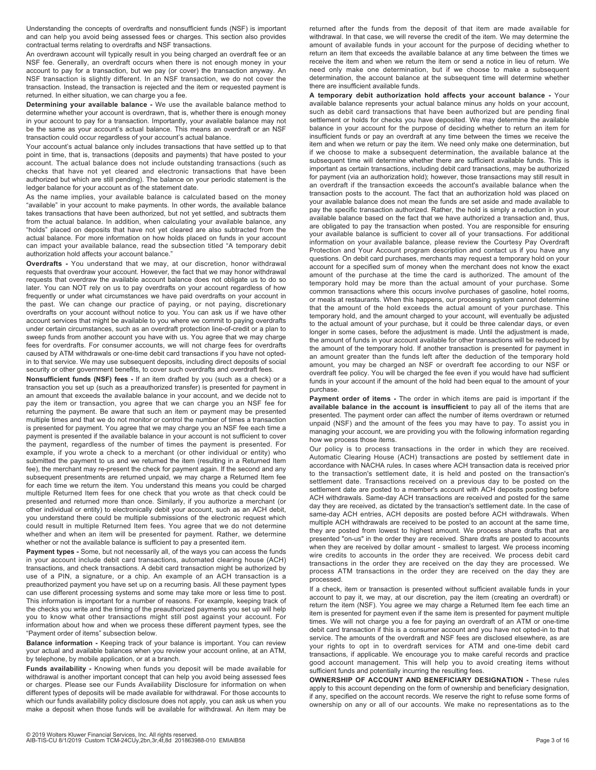Understanding the concepts of overdrafts and nonsufficient funds (NSF) is important and can help you avoid being assessed fees or charges. This section also provides contractual terms relating to overdrafts and NSF transactions.

An overdrawn account will typically result in you being charged an overdraft fee or an NSF fee. Generally, an overdraft occurs when there is not enough money in your account to pay for a transaction, but we pay (or cover) the transaction anyway. An NSF transaction is slightly different. In an NSF transaction, we do not cover the transaction. Instead, the transaction is rejected and the item or requested payment is returned. In either situation, we can charge you a fee.

**Determining your available balance -** We use the available balance method to determine whether your account is overdrawn, that is, whether there is enough money in your account to pay for a transaction. Importantly, your available balance may not be the same as your account's actual balance. This means an overdraft or an NSF transaction could occur regardless of your account's actual balance.

Your account's actual balance only includes transactions that have settled up to that point in time, that is, transactions (deposits and payments) that have posted to your account. The actual balance does not include outstanding transactions (such as checks that have not yet cleared and electronic transactions that have been authorized but which are still pending). The balance on your periodic statement is the ledger balance for your account as of the statement date.

As the name implies, your available balance is calculated based on the money "available" in your account to make payments. In other words, the available balance takes transactions that have been authorized, but not yet settled, and subtracts them from the actual balance. In addition, when calculating your available balance, any "holds" placed on deposits that have not yet cleared are also subtracted from the actual balance. For more information on how holds placed on funds in your account can impact your available balance, read the subsection titled "A temporary debit authorization hold affects your account balance."

**Overdrafts -** You understand that we may, at our discretion, honor withdrawal requests that overdraw your account. However, the fact that we may honor withdrawal requests that overdraw the available account balance does not obligate us to do so later. You can NOT rely on us to pay overdrafts on your account regardless of how frequently or under what circumstances we have paid overdrafts on your account in the past. We can change our practice of paying, or not paying, discretionary overdrafts on your account without notice to you. You can ask us if we have other account services that might be available to you where we commit to paying overdrafts under certain circumstances, such as an overdraft protection line-of-credit or a plan to sweep funds from another account you have with us. You agree that we may charge fees for overdrafts. For consumer accounts, we will not charge fees for overdrafts caused by ATM withdrawals or one-time debit card transactions if you have not optedin to that service. We may use subsequent deposits, including direct deposits of social security or other government benefits, to cover such overdrafts and overdraft fees.

**Nonsufficient funds (NSF) fees -** If an item drafted by you (such as a check) or a transaction you set up (such as a preauthorized transfer) is presented for payment in an amount that exceeds the available balance in your account, and we decide not to pay the item or transaction, you agree that we can charge you an NSF fee for returning the payment. Be aware that such an item or payment may be presented multiple times and that we do not monitor or control the number of times a transaction is presented for payment. You agree that we may charge you an NSF fee each time a payment is presented if the available balance in your account is not sufficient to cover the payment, regardless of the number of times the payment is presented. For example, if you wrote a check to a merchant (or other individual or entity) who submitted the payment to us and we returned the item (resulting in a Returned Item fee), the merchant may re-present the check for payment again. If the second and any subsequent presentments are returned unpaid, we may charge a Returned Item fee for each time we return the item. You understand this means you could be charged multiple Returned Item fees for one check that you wrote as that check could be presented and returned more than once. Similarly, if you authorize a merchant (or other individual or entity) to electronically debit your account, such as an ACH debit, you understand there could be multiple submissions of the electronic request which could result in multiple Returned Item fees. You agree that we do not determine whether and when an item will be presented for payment. Rather, we determine whether or not the available balance is sufficient to pay a presented item.

**Payment types -** Some, but not necessarily all, of the ways you can access the funds in your account include debit card transactions, automated clearing house (ACH) transactions, and check transactions. A debit card transaction might be authorized by use of a PIN, a signature, or a chip. An example of an ACH transaction is a preauthorized payment you have set up on a recurring basis. All these payment types can use different processing systems and some may take more or less time to post. This information is important for a number of reasons. For example, keeping track of the checks you write and the timing of the preauthorized payments you set up will help you to know what other transactions might still post against your account. For information about how and when we process these different payment types, see the "Payment order of items" subsection below.

**Balance information -** Keeping track of your balance is important. You can review your actual and available balances when you review your account online, at an ATM, by telephone, by mobile application, or at a branch.

**Funds availability -** Knowing when funds you deposit will be made available for withdrawal is another important concept that can help you avoid being assessed fees or charges. Please see our Funds Availability Disclosure for information on when different types of deposits will be made available for withdrawal. For those accounts to which our funds availability policy disclosure does not apply, you can ask us when you make a deposit when those funds will be available for withdrawal. An item may be

returned after the funds from the deposit of that item are made available for withdrawal. In that case, we will reverse the credit of the item. We may determine the amount of available funds in your account for the purpose of deciding whether to return an item that exceeds the available balance at any time between the times we receive the item and when we return the item or send a notice in lieu of return. We need only make one determination, but if we choose to make a subsequent determination, the account balance at the subsequent time will determine whether there are insufficient available funds.

**A temporary debit authorization hold affects your account balance -** Your available balance represents your actual balance minus any holds on your account, such as debit card transactions that have been authorized but are pending final settlement or holds for checks you have deposited. We may determine the available balance in your account for the purpose of deciding whether to return an item for insufficient funds or pay an overdraft at any time between the times we receive the item and when we return or pay the item. We need only make one determination, but if we choose to make a subsequent determination, the available balance at the subsequent time will determine whether there are sufficient available funds. This is important as certain transactions, including debit card transactions, may be authorized for payment (via an authorization hold); however, those transactions may still result in an overdraft if the transaction exceeds the account's available balance when the transaction posts to the account. The fact that an authorization hold was placed on your available balance does not mean the funds are set aside and made available to pay the specific transaction authorized. Rather, the hold is simply a reduction in your available balance based on the fact that we have authorized a transaction and, thus, are obligated to pay the transaction when posted. You are responsible for ensuring your available balance is sufficient to cover all of your transactions. For additional information on your available balance, please review the Courtesy Pay Overdraft Protection and Your Account program description and contact us if you have any questions. On debit card purchases, merchants may request a temporary hold on your account for a specified sum of money when the merchant does not know the exact amount of the purchase at the time the card is authorized. The amount of the temporary hold may be more than the actual amount of your purchase. Some common transactions where this occurs involve purchases of gasoline, hotel rooms, or meals at restaurants. When this happens, our processing system cannot determine that the amount of the hold exceeds the actual amount of your purchase. This temporary hold, and the amount charged to your account, will eventually be adjusted to the actual amount of your purchase, but it could be three calendar days, or even longer in some cases, before the adjustment is made. Until the adjustment is made, the amount of funds in your account available for other transactions will be reduced by the amount of the temporary hold. If another transaction is presented for payment in an amount greater than the funds left after the deduction of the temporary hold amount, you may be charged an NSF or overdraft fee according to our NSF or overdraft fee policy. You will be charged the fee even if you would have had sufficient funds in your account if the amount of the hold had been equal to the amount of your purchase.

**Payment order of items -** The order in which items are paid is important if the **available balance in the account is insufficient** to pay all of the items that are presented. The payment order can affect the number of items overdrawn or returned unpaid (NSF) and the amount of the fees you may have to pay. To assist you in managing your account, we are providing you with the following information regarding how we process those items.

Our policy is to process transactions in the order in which they are received. Automatic Clearing House (ACH) transactions are posted by settlement date in accordance with NACHA rules. In cases where ACH transaction data is received prior to the transaction's settlement date, it is held and posted on the transaction's settlement date. Transactions received on a previous day to be posted on the settlement date are posted to a member's account with ACH deposits posting before ACH withdrawals. Same-day ACH transactions are received and posted for the same day they are received, as dictated by the transaction's settlement date. In the case of same-day ACH entries, ACH deposits are posted before ACH withdrawals. When multiple ACH withdrawals are received to be posted to an account at the same time, they are posted from lowest to highest amount. We process share drafts that are presented "on-us" in the order they are received. Share drafts are posted to accounts when they are received by dollar amount - smallest to largest. We process incoming wire credits to accounts in the order they are received. We process debit card transactions in the order they are received on the day they are processed. We process ATM transactions in the order they are received on the day they are processed.

If a check, item or transaction is presented without sufficient available funds in your account to pay it, we may, at our discretion, pay the item (creating an overdraft) or return the item (NSF). You agree we may charge a Returned Item fee each time an item is presented for payment even if the same item is presented for payment multiple times. We will not charge you a fee for paying an overdraft of an ATM or one-time debit card transaction if this is a consumer account and you have not opted-in to that service. The amounts of the overdraft and NSF fees are disclosed elsewhere, as are your rights to opt in to overdraft services for ATM and one-time debit card transactions, if applicable. We encourage you to make careful records and practice good account management. This will help you to avoid creating items without sufficient funds and potentially incurring the resulting fees.

**OWNERSHIP OF ACCOUNT AND BENEFICIARY DESIGNATION -** These rules apply to this account depending on the form of ownership and beneficiary designation, if any, specified on the account records. We reserve the right to refuse some forms of ownership on any or all of our accounts. We make no representations as to the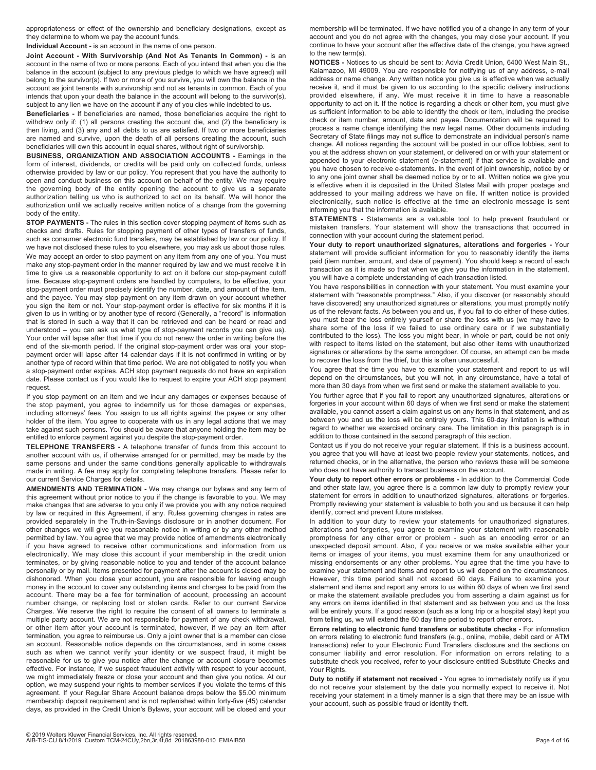appropriateness or effect of the ownership and beneficiary designations, except as they determine to whom we pay the account funds.

**Individual Account -** is an account in the name of one person.

**Joint Account - With Survivorship (And Not As Tenants In Common) -** is an account in the name of two or more persons. Each of you intend that when you die the balance in the account (subject to any previous pledge to which we have agreed) will belong to the survivor(s). If two or more of you survive, you will own the balance in the account as joint tenants with survivorship and not as tenants in common. Each of you intends that upon your death the balance in the account will belong to the survivor(s), subject to any lien we have on the account if any of you dies while indebted to us.

**Beneficiaries -** If beneficiaries are named, those beneficiaries acquire the right to withdraw only if: (1) all persons creating the account die, and (2) the beneficiary is then living, and (3) any and all debts to us are satisfied. If two or more beneficiaries are named and survive, upon the death of all persons creating the account, such beneficiaries will own this account in equal shares, without right of survivorship.

**BUSINESS, ORGANIZATION AND ASSOCIATION ACCOUNTS -** Earnings in the form of interest, dividends, or credits will be paid only on collected funds, unless otherwise provided by law or our policy. You represent that you have the authority to open and conduct business on this account on behalf of the entity. We may require the governing body of the entity opening the account to give us a separate authorization telling us who is authorized to act on its behalf. We will honor the authorization until we actually receive written notice of a change from the governing body of the entity.

**STOP PAYMENTS -** The rules in this section cover stopping payment of items such as checks and drafts. Rules for stopping payment of other types of transfers of funds, such as consumer electronic fund transfers, may be established by law or our policy. If we have not disclosed these rules to you elsewhere, you may ask us about those rules. We may accept an order to stop payment on any item from any one of you. You must make any stop-payment order in the manner required by law and we must receive it in time to give us a reasonable opportunity to act on it before our stop-payment cutoff time. Because stop-payment orders are handled by computers, to be effective, your stop-payment order must precisely identify the number, date, and amount of the item, and the payee. You may stop payment on any item drawn on your account whether you sign the item or not. Your stop-payment order is effective for six months if it is given to us in writing or by another type of record (Generally, a "record" is information that is stored in such a way that it can be retrieved and can be heard or read and understood – you can ask us what type of stop-payment records you can give us). Your order will lapse after that time if you do not renew the order in writing before the end of the six-month period. If the original stop-payment order was oral your stoppayment order will lapse after 14 calendar days if it is not confirmed in writing or by another type of record within that time period. We are not obligated to notify you when a stop-payment order expires. ACH stop payment requests do not have an expiration date. Please contact us if you would like to request to expire your ACH stop payment request.

If you stop payment on an item and we incur any damages or expenses because of the stop payment, you agree to indemnify us for those damages or expenses, including attorneys' fees. You assign to us all rights against the payee or any other holder of the item. You agree to cooperate with us in any legal actions that we may take against such persons. You should be aware that anyone holding the item may be entitled to enforce payment against you despite the stop-payment order.

**TELEPHONE TRANSFERS -** A telephone transfer of funds from this account to another account with us, if otherwise arranged for or permitted, may be made by the same persons and under the same conditions generally applicable to withdrawals made in writing. A fee may apply for completing telephone transfers. Please refer to our current Service Charges for details.

**AMENDMENTS AND TERMINATION -** We may change our bylaws and any term of this agreement without prior notice to you if the change is favorable to you. We may make changes that are adverse to you only if we provide you with any notice required by law or required in this Agreement, if any. Rules governing changes in rates are provided separately in the Truth-in-Savings disclosure or in another document. For other changes we will give you reasonable notice in writing or by any other method permitted by law. You agree that we may provide notice of amendments electronically if you have agreed to receive other communications and information from us electronically. We may close this account if your membership in the credit union terminates, or by giving reasonable notice to you and tender of the account balance personally or by mail. Items presented for payment after the account is closed may be dishonored. When you close your account, you are responsible for leaving enough money in the account to cover any outstanding items and charges to be paid from the account. There may be a fee for termination of account, processing an account number change, or replacing lost or stolen cards. Refer to our current Service Charges. We reserve the right to require the consent of all owners to terminate a multiple party account. We are not responsible for payment of any check withdrawal, or other item after your account is terminated, however, if we pay an item after termination, you agree to reimburse us. Only a joint owner that is a member can close an account. Reasonable notice depends on the circumstances, and in some cases such as when we cannot verify your identity or we suspect fraud, it might be reasonable for us to give you notice after the change or account closure becomes effective. For instance, if we suspect fraudulent activity with respect to your account, we might immediately freeze or close your account and then give you notice. At our option, we may suspend your rights to member services if you violate the terms of this agreement. If your Regular Share Account balance drops below the \$5.00 minimum membership deposit requirement and is not replenished within forty-five (45) calendar days, as provided in the Credit Union's Bylaws, your account will be closed and your

membership will be terminated. If we have notified you of a change in any term of your account and you do not agree with the changes, you may close your account. If you continue to have your account after the effective date of the change, you have agreed to the new term(s).

**NOTICES -** Notices to us should be sent to: Advia Credit Union, 6400 West Main St., Kalamazoo, MI 49009. You are responsible for notifying us of any address, e-mail address or name change. Any written notice you give us is effective when we actually receive it, and it must be given to us according to the specific delivery instructions provided elsewhere, if any. We must receive it in time to have a reasonable opportunity to act on it. If the notice is regarding a check or other item, you must give us sufficient information to be able to identify the check or item, including the precise check or item number, amount, date and payee. Documentation will be required to process a name change identifying the new legal name. Other documents including Secretary of State filings may not suffice to demonstrate an individual person's name change. All notices regarding the account will be posted in our office lobbies, sent to you at the address shown on your statement, or delivered on or with your statement or appended to your electronic statement (e-statement) if that service is available and you have chosen to receive e-statements. In the event of joint ownership, notice by or to any one joint owner shall be deemed notice by or to all. Written notice we give you is effective when it is deposited in the United States Mail with proper postage and addressed to your mailing address we have on file. If written notice is provided electronically, such notice is effective at the time an electronic message is sent informing you that the information is available.

**STATEMENTS -** Statements are a valuable tool to help prevent fraudulent or mistaken transfers. Your statement will show the transactions that occurred in connection with your account during the statement period.

**Your duty to report unauthorized signatures, alterations and forgeries -** Your statement will provide sufficient information for you to reasonably identify the items paid (item number, amount, and date of payment). You should keep a record of each transaction as it is made so that when we give you the information in the statement, you will have a complete understanding of each transaction listed.

You have responsibilities in connection with your statement. You must examine your statement with "reasonable promptness." Also, if you discover (or reasonably should have discovered) any unauthorized signatures or alterations, you must promptly notify us of the relevant facts. As between you and us, if you fail to do either of these duties, you must bear the loss entirely yourself or share the loss with us (we may have to share some of the loss if we failed to use ordinary care or if we substantially contributed to the loss). The loss you might bear, in whole or part, could be not only with respect to items listed on the statement, but also other items with unauthorized signatures or alterations by the same wrongdoer. Of course, an attempt can be made to recover the loss from the thief, but this is often unsuccessful.

You agree that the time you have to examine your statement and report to us will depend on the circumstances, but you will not, in any circumstance, have a total of more than 30 days from when we first send or make the statement available to you.

You further agree that if you fail to report any unauthorized signatures, alterations or forgeries in your account within 60 days of when we first send or make the statement available, you cannot assert a claim against us on any items in that statement, and as between you and us the loss will be entirely yours. This 60-day limitation is without regard to whether we exercised ordinary care. The limitation in this paragraph is in addition to those contained in the second paragraph of this section.

Contact us if you do not receive your regular statement. If this is a business account, you agree that you will have at least two people review your statements, notices, and returned checks, or in the alternative, the person who reviews these will be someone who does not have authority to transact business on the account.

**Your duty to report other errors or problems -** In addition to the Commercial Code and other state law, you agree there is a common law duty to promptly review your statement for errors in addition to unauthorized signatures, alterations or forgeries. Promptly reviewing your statement is valuable to both you and us because it can help identify, correct and prevent future mistakes.

In addition to your duty to review your statements for unauthorized signatures, alterations and forgeries, you agree to examine your statement with reasonable promptness for any other error or problem - such as an encoding error or an unexpected deposit amount. Also, if you receive or we make available either your items or images of your items, you must examine them for any unauthorized or missing endorsements or any other problems. You agree that the time you have to examine your statement and items and report to us will depend on the circumstances. However, this time period shall not exceed 60 days. Failure to examine your statement and items and report any errors to us within 60 days of when we first send or make the statement available precludes you from asserting a claim against us for any errors on items identified in that statement and as between you and us the loss will be entirely yours. If a good reason (such as a long trip or a hospital stay) kept you from telling us, we will extend the 60 day time period to report other errors.

**Errors relating to electronic fund transfers or substitute checks -** For information on errors relating to electronic fund transfers (e.g., online, mobile, debit card or ATM transactions) refer to your Electronic Fund Transfers disclosure and the sections on consumer liability and error resolution. For information on errors relating to a substitute check you received, refer to your disclosure entitled Substitute Checks and Your Rights.

**Duty to notify if statement not received -** You agree to immediately notify us if you do not receive your statement by the date you normally expect to receive it. Not receiving your statement in a timely manner is a sign that there may be an issue with your account, such as possible fraud or identity theft.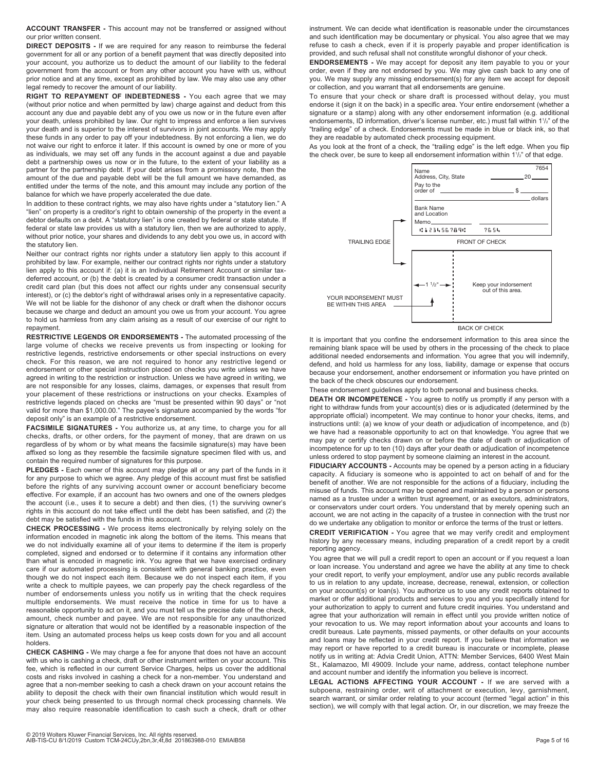**ACCOUNT TRANSFER -** This account may not be transferred or assigned without our prior written consent.

**DIRECT DEPOSITS -** If we are required for any reason to reimburse the federal government for all or any portion of a benefit payment that was directly deposited into your account, you authorize us to deduct the amount of our liability to the federal government from the account or from any other account you have with us, without prior notice and at any time, except as prohibited by law. We may also use any other legal remedy to recover the amount of our liability.

**RIGHT TO REPAYMENT OF INDEBTEDNESS -** You each agree that we may (without prior notice and when permitted by law) charge against and deduct from this account any due and payable debt any of you owe us now or in the future even after your death, unless prohibited by law. Our right to impress and enforce a lien survives your death and is superior to the interest of survivors in joint accounts. We may apply these funds in any order to pay off your indebtedness. By not enforcing a lien, we do not waive our right to enforce it later. If this account is owned by one or more of you as individuals, we may set off any funds in the account against a due and payable debt a partnership owes us now or in the future, to the extent of your liability as a partner for the partnership debt. If your debt arises from a promissory note, then the amount of the due and payable debt will be the full amount we have demanded, as entitled under the terms of the note, and this amount may include any portion of the balance for which we have properly accelerated the due date.

In addition to these contract rights, we may also have rights under a "statutory lien." A "lien" on property is a creditor's right to obtain ownership of the property in the event a debtor defaults on a debt. A "statutory lien" is one created by federal or state statute. If federal or state law provides us with a statutory lien, then we are authorized to apply, without prior notice, your shares and dividends to any debt you owe us, in accord with the statutory lien.

Neither our contract rights nor rights under a statutory lien apply to this account if prohibited by law. For example, neither our contract rights nor rights under a statutory lien apply to this account if: (a) it is an Individual Retirement Account or similar taxdeferred account, or (b) the debt is created by a consumer credit transaction under a credit card plan (but this does not affect our rights under any consensual security interest), or (c) the debtor's right of withdrawal arises only in a representative capacity. We will not be liable for the dishonor of any check or draft when the dishonor occurs because we charge and deduct an amount you owe us from your account. You agree to hold us harmless from any claim arising as a result of our exercise of our right to repayment.

**RESTRICTIVE LEGENDS OR ENDORSEMENTS -** The automated processing of the large volume of checks we receive prevents us from inspecting or looking for restrictive legends, restrictive endorsements or other special instructions on every check. For this reason, we are not required to honor any restrictive legend or endorsement or other special instruction placed on checks you write unless we have agreed in writing to the restriction or instruction. Unless we have agreed in writing, we are not responsible for any losses, claims, damages, or expenses that result from your placement of these restrictions or instructions on your checks. Examples of restrictive legends placed on checks are "must be presented within 90 days" or "not valid for more than \$1,000.00." The payee's signature accompanied by the words "for deposit only" is an example of a restrictive endorsement.

**FACSIMILE SIGNATURES -** You authorize us, at any time, to charge you for all checks, drafts, or other orders, for the payment of money, that are drawn on us regardless of by whom or by what means the facsimile signature(s) may have been affixed so long as they resemble the facsimile signature specimen filed with us, and contain the required number of signatures for this purpose.

**PLEDGES -** Each owner of this account may pledge all or any part of the funds in it for any purpose to which we agree. Any pledge of this account must first be satisfied before the rights of any surviving account owner or account beneficiary become effective. For example, if an account has two owners and one of the owners pledges the account (i.e., uses it to secure a debt) and then dies, (1) the surviving owner's rights in this account do not take effect until the debt has been satisfied, and (2) the debt may be satisfied with the funds in this account.

**CHECK PROCESSING -** We process items electronically by relying solely on the information encoded in magnetic ink along the bottom of the items. This means that we do not individually examine all of your items to determine if the item is properly completed, signed and endorsed or to determine if it contains any information other than what is encoded in magnetic ink. You agree that we have exercised ordinary care if our automated processing is consistent with general banking practice, even though we do not inspect each item. Because we do not inspect each item, if you write a check to multiple payees, we can properly pay the check regardless of the number of endorsements unless you notify us in writing that the check requires multiple endorsements. We must receive the notice in time for us to have a reasonable opportunity to act on it, and you must tell us the precise date of the check, amount, check number and payee. We are not responsible for any unauthorized signature or alteration that would not be identified by a reasonable inspection of the item. Using an automated process helps us keep costs down for you and all account holders.

**CHECK CASHING -** We may charge a fee for anyone that does not have an account with us who is cashing a check, draft or other instrument written on your account. This fee, which is reflected in our current Service Charges, helps us cover the additional costs and risks involved in cashing a check for a non-member. You understand and agree that a non-member seeking to cash a check drawn on your account retains the ability to deposit the check with their own financial institution which would result in your check being presented to us through normal check processing channels. We may also require reasonable identification to cash such a check, draft or other

provided, and such refusal shall not constitute wrongful dishonor of your check. **ENDORSEMENTS -** We may accept for deposit any item payable to you or your order, even if they are not endorsed by you. We may give cash back to any one of you. We may supply any missing endorsement(s) for any item we accept for deposit or collection, and you warrant that all endorsements are genuine. To ensure that your check or share draft is processed without delay, you must

endorse it (sign it on the back) in a specific area. Your entire endorsement (whether a signature or a stamp) along with any other endorsement information (e.g. additional endorsements, ID information, driver's license number, etc.) must fall within 1<sup>1</sup>/<sub>2</sub>" of the "trailing edge" of a check. Endorsements must be made in blue or black ink, so that they are readable by automated check processing equipment.

instrument. We can decide what identification is reasonable under the circumstances and such identification may be documentary or physical. You also agree that we may refuse to cash a check, even if it is properly payable and proper identification is

As you look at the front of a check, the "trailing edge" is the left edge. When you flip the check over, be sure to keep all endorsement information within  $1\frac{1}{2}$ " of that edge.



BACK OF CHECK

It is important that you confine the endorsement information to this area since the remaining blank space will be used by others in the processing of the check to place additional needed endorsements and information. You agree that you will indemnify, defend, and hold us harmless for any loss, liability, damage or expense that occurs because your endorsement, another endorsement or information you have printed on the back of the check obscures our endorsement.

These endorsement guidelines apply to both personal and business checks.

**DEATH OR INCOMPETENCE -** You agree to notify us promptly if any person with a right to withdraw funds from your account(s) dies or is adjudicated (determined by the appropriate official) incompetent. We may continue to honor your checks, items, and instructions until: (a) we know of your death or adjudication of incompetence, and (b) we have had a reasonable opportunity to act on that knowledge. You agree that we may pay or certify checks drawn on or before the date of death or adjudication of incompetence for up to ten (10) days after your death or adjudication of incompetence unless ordered to stop payment by someone claiming an interest in the account.

**FIDUCIARY ACCOUNTS -** Accounts may be opened by a person acting in a fiduciary capacity. A fiduciary is someone who is appointed to act on behalf of and for the benefit of another. We are not responsible for the actions of a fiduciary, including the misuse of funds. This account may be opened and maintained by a person or persons named as a trustee under a written trust agreement, or as executors, administrators, or conservators under court orders. You understand that by merely opening such an account, we are not acting in the capacity of a trustee in connection with the trust nor do we undertake any obligation to monitor or enforce the terms of the trust or letters.

**CREDIT VERIFICATION -** You agree that we may verify credit and employment history by any necessary means, including preparation of a credit report by a credit reporting agency.

You agree that we will pull a credit report to open an account or if you request a loan or loan increase. You understand and agree we have the ability at any time to check your credit report, to verify your employment, and/or use any public records available to us in relation to any update, increase, decrease, renewal, extension, or collection on your account(s) or loan(s). You authorize us to use any credit reports obtained to market or offer additional products and services to you and you specifically intend for your authorization to apply to current and future credit inquiries. You understand and agree that your authorization will remain in effect until you provide written notice of your revocation to us. We may report information about your accounts and loans to credit bureaus. Late payments, missed payments, or other defaults on your accounts and loans may be reflected in your credit report. If you believe that information we may report or have reported to a credit bureau is inaccurate or incomplete, please notify us in writing at: Advia Credit Union, ATTN: Member Services, 6400 West Main St., Kalamazoo, MI 49009. Include your name, address, contact telephone number and account number and identify the information you believe is incorrect.

**LEGAL ACTIONS AFFECTING YOUR ACCOUNT -** If we are served with a subpoena, restraining order, writ of attachment or execution, levy, garnishment, search warrant, or similar order relating to your account (termed "legal action" in this section), we will comply with that legal action. Or, in our discretion, we may freeze the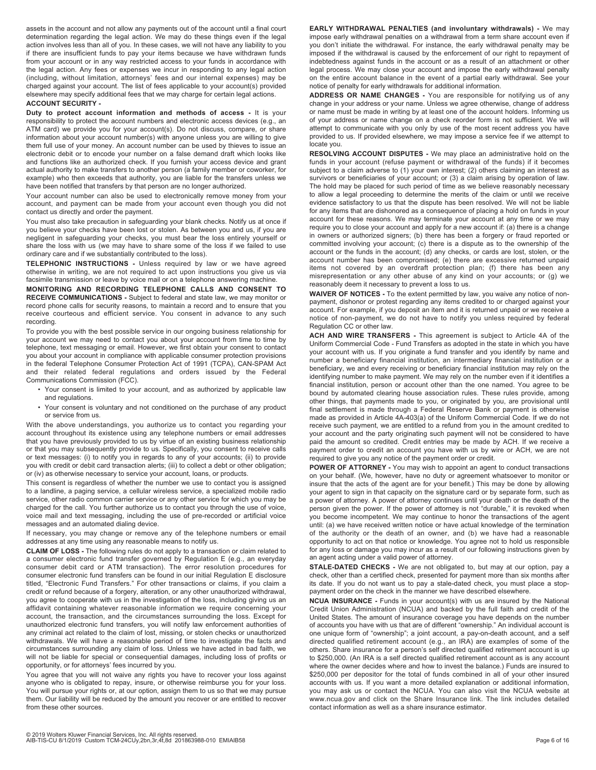assets in the account and not allow any payments out of the account until a final court determination regarding the legal action. We may do these things even if the legal action involves less than all of you. In these cases, we will not have any liability to you if there are insufficient funds to pay your items because we have withdrawn funds from your account or in any way restricted access to your funds in accordance with the legal action. Any fees or expenses we incur in responding to any legal action (including, without limitation, attorneys' fees and our internal expenses) may be charged against your account. The list of fees applicable to your account(s) provided elsewhere may specify additional fees that we may charge for certain legal actions.

#### **ACCOUNT SECURITY -**

**Duty to protect account information and methods of access -** It is your responsibility to protect the account numbers and electronic access devices (e.g., an ATM card) we provide you for your account(s). Do not discuss, compare, or share information about your account number(s) with anyone unless you are willing to give them full use of your money. An account number can be used by thieves to issue an electronic debit or to encode your number on a false demand draft which looks like and functions like an authorized check. If you furnish your access device and grant actual authority to make transfers to another person (a family member or coworker, for example) who then exceeds that authority, you are liable for the transfers unless we have been notified that transfers by that person are no longer authorized.

Your account number can also be used to electronically remove money from your account, and payment can be made from your account even though you did not contact us directly and order the payment.

You must also take precaution in safeguarding your blank checks. Notify us at once if you believe your checks have been lost or stolen. As between you and us, if you are negligent in safeguarding your checks, you must bear the loss entirely yourself or share the loss with us (we may have to share some of the loss if we failed to use ordinary care and if we substantially contributed to the loss).

**TELEPHONIC INSTRUCTIONS -** Unless required by law or we have agreed otherwise in writing, we are not required to act upon instructions you give us via facsimile transmission or leave by voice mail or on a telephone answering machine.

**MONITORING AND RECORDING TELEPHONE CALLS AND CONSENT TO RECEIVE COMMUNICATIONS -** Subject to federal and state law, we may monitor or record phone calls for security reasons, to maintain a record and to ensure that you receive courteous and efficient service. You consent in advance to any such recording.

To provide you with the best possible service in our ongoing business relationship for your account we may need to contact you about your account from time to time by telephone, text messaging or email. However, we first obtain your consent to contact you about your account in compliance with applicable consumer protection provisions in the federal Telephone Consumer Protection Act of 1991 (TCPA), CAN-SPAM Act and their related federal regulations and orders issued by the Federal Communications Commission (FCC).

- Your consent is limited to your account, and as authorized by applicable law and regulations.
- Your consent is voluntary and not conditioned on the purchase of any product or service from us.

With the above understandings, you authorize us to contact you regarding your account throughout its existence using any telephone numbers or email addresses that you have previously provided to us by virtue of an existing business relationship or that you may subsequently provide to us. Specifically, you consent to receive calls or text messages: (i) to notify you in regards to any of your accounts; (ii) to provide you with credit or debit card transaction alerts; (iii) to collect a debt or other obligation; or (iv) as otherwise necessary to service your account, loans, or products.

This consent is regardless of whether the number we use to contact you is assigned to a landline, a paging service, a cellular wireless service, a specialized mobile radio service, other radio common carrier service or any other service for which you may be charged for the call. You further authorize us to contact you through the use of voice, voice mail and text messaging, including the use of pre-recorded or artificial voice messages and an automated dialing device.

If necessary, you may change or remove any of the telephone numbers or email addresses at any time using any reasonable means to notify us.

**CLAIM OF LOSS -** The following rules do not apply to a transaction or claim related to a consumer electronic fund transfer governed by Regulation E (e.g., an everyday consumer debit card or ATM transaction). The error resolution procedures for consumer electronic fund transfers can be found in our initial Regulation E disclosure titled, "Electronic Fund Transfers." For other transactions or claims, if you claim a credit or refund because of a forgery, alteration, or any other unauthorized withdrawal, you agree to cooperate with us in the investigation of the loss, including giving us an affidavit containing whatever reasonable information we require concerning your account, the transaction, and the circumstances surrounding the loss. Except for unauthorized electronic fund transfers, you will notify law enforcement authorities of any criminal act related to the claim of lost, missing, or stolen checks or unauthorized withdrawals. We will have a reasonable period of time to investigate the facts and circumstances surrounding any claim of loss. Unless we have acted in bad faith, we will not be liable for special or consequential damages, including loss of profits or opportunity, or for attorneys' fees incurred by you.

You agree that you will not waive any rights you have to recover your loss against anyone who is obligated to repay, insure, or otherwise reimburse you for your loss. You will pursue your rights or, at our option, assign them to us so that we may pursue them. Our liability will be reduced by the amount you recover or are entitled to recover from these other sources.

**EARLY WITHDRAWAL PENALTIES (and involuntary withdrawals) -** We may impose early withdrawal penalties on a withdrawal from a term share account even if you don't initiate the withdrawal. For instance, the early withdrawal penalty may be imposed if the withdrawal is caused by the enforcement of our right to repayment of indebtedness against funds in the account or as a result of an attachment or other legal process. We may close your account and impose the early withdrawal penalty on the entire account balance in the event of a partial early withdrawal. See your notice of penalty for early withdrawals for additional information.

**ADDRESS OR NAME CHANGES -** You are responsible for notifying us of any change in your address or your name. Unless we agree otherwise, change of address or name must be made in writing by at least one of the account holders. Informing us of your address or name change on a check reorder form is not sufficient. We will attempt to communicate with you only by use of the most recent address you have provided to us. If provided elsewhere, we may impose a service fee if we attempt to locate you.

**RESOLVING ACCOUNT DISPUTES -** We may place an administrative hold on the funds in your account (refuse payment or withdrawal of the funds) if it becomes subject to a claim adverse to (1) your own interest; (2) others claiming an interest as survivors or beneficiaries of your account; or (3) a claim arising by operation of law. The hold may be placed for such period of time as we believe reasonably necessary to allow a legal proceeding to determine the merits of the claim or until we receive evidence satisfactory to us that the dispute has been resolved. We will not be liable for any items that are dishonored as a consequence of placing a hold on funds in your account for these reasons. We may terminate your account at any time or we may require you to close your account and apply for a new account if: (a) there is a change in owners or authorized signers; (b) there has been a forgery or fraud reported or committed involving your account; (c) there is a dispute as to the ownership of the account or the funds in the account; (d) any checks, or cards are lost, stolen, or the account number has been compromised; (e) there are excessive returned unpaid items not covered by an overdraft protection plan; (f) there has been any misrepresentation or any other abuse of any kind on your accounts; or (g) we reasonably deem it necessary to prevent a loss to us.

**WAIVER OF NOTICES -** To the extent permitted by law, you waive any notice of nonpayment, dishonor or protest regarding any items credited to or charged against your account. For example, if you deposit an item and it is returned unpaid or we receive a notice of non-payment, we do not have to notify you unless required by federal Regulation CC or other law.

**ACH AND WIRE TRANSFERS -** This agreement is subject to Article 4A of the Uniform Commercial Code - Fund Transfers as adopted in the state in which you have your account with us. If you originate a fund transfer and you identify by name and number a beneficiary financial institution, an intermediary financial institution or a beneficiary, we and every receiving or beneficiary financial institution may rely on the identifying number to make payment. We may rely on the number even if it identifies a financial institution, person or account other than the one named. You agree to be bound by automated clearing house association rules. These rules provide, among other things, that payments made to you, or originated by you, are provisional until final settlement is made through a Federal Reserve Bank or payment is otherwise made as provided in Article 4A-403(a) of the Uniform Commercial Code. If we do not receive such payment, we are entitled to a refund from you in the amount credited to your account and the party originating such payment will not be considered to have paid the amount so credited. Credit entries may be made by ACH. If we receive a payment order to credit an account you have with us by wire or ACH, we are not required to give you any notice of the payment order or credit.

**POWER OF ATTORNEY -** You may wish to appoint an agent to conduct transactions on your behalf. (We, however, have no duty or agreement whatsoever to monitor or insure that the acts of the agent are for your benefit.) This may be done by allowing your agent to sign in that capacity on the signature card or by separate form, such as a power of attorney. A power of attorney continues until your death or the death of the person given the power. If the power of attorney is not "durable," it is revoked when you become incompetent. We may continue to honor the transactions of the agent until: (a) we have received written notice or have actual knowledge of the termination of the authority or the death of an owner, and (b) we have had a reasonable opportunity to act on that notice or knowledge. You agree not to hold us responsible for any loss or damage you may incur as a result of our following instructions given by an agent acting under a valid power of attorney.

**STALE-DATED CHECKS -** We are not obligated to, but may at our option, pay a check, other than a certified check, presented for payment more than six months after its date. If you do not want us to pay a stale-dated check, you must place a stoppayment order on the check in the manner we have described elsewhere.

**NCUA INSURANCE -** Funds in your account(s) with us are insured by the National Credit Union Administration (NCUA) and backed by the full faith and credit of the United States. The amount of insurance coverage you have depends on the number of accounts you have with us that are of different "ownership." An individual account is one unique form of "ownership"; a joint account, a pay-on-death account, and a self directed qualified retirement account (e.g., an IRA) are examples of some of the others. Share insurance for a person's self directed qualified retirement account is up to \$250,000. (An IRA is a self directed qualified retirement account as is any account where the owner decides where and how to invest the balance.) Funds are insured to \$250,000 per depositor for the total of funds combined in all of your other insured accounts with us. If you want a more detailed explanation or additional information, you may ask us or contact the NCUA. You can also visit the NCUA website at www.ncua.gov and click on the Share Insurance link. The link includes detailed contact information as well as a share insurance estimator.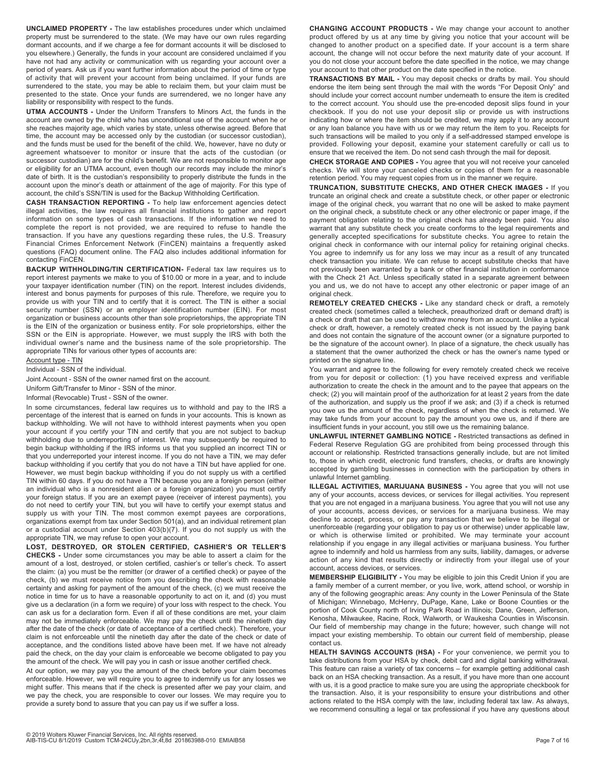**UNCLAIMED PROPERTY -** The law establishes procedures under which unclaimed property must be surrendered to the state. (We may have our own rules regarding dormant accounts, and if we charge a fee for dormant accounts it will be disclosed to you elsewhere.) Generally, the funds in your account are considered unclaimed if you have not had any activity or communication with us regarding your account over a period of years. Ask us if you want further information about the period of time or type of activity that will prevent your account from being unclaimed. If your funds are surrendered to the state, you may be able to reclaim them, but your claim must be presented to the state. Once your funds are surrendered, we no longer have any liability or responsibility with respect to the funds.

**UTMA ACCOUNTS -** Under the Uniform Transfers to Minors Act, the funds in the account are owned by the child who has unconditional use of the account when he or she reaches majority age, which varies by state, unless otherwise agreed. Before that time, the account may be accessed only by the custodian (or successor custodian), and the funds must be used for the benefit of the child. We, however, have no duty or agreement whatsoever to monitor or insure that the acts of the custodian (or successor custodian) are for the child's benefit. We are not responsible to monitor age or eligibility for an UTMA account, even though our records may include the minor's date of birth. It is the custodian's responsibility to properly distribute the funds in the account upon the minor's death or attainment of the age of majority. For this type of account, the child's SSN/TIN is used for the Backup Withholding Certification.

**CASH TRANSACTION REPORTING -** To help law enforcement agencies detect illegal activities, the law requires all financial institutions to gather and report information on some types of cash transactions. If the information we need to complete the report is not provided, we are required to refuse to handle the transaction. If you have any questions regarding these rules, the U.S. Treasury Financial Crimes Enforcement Network (FinCEN) maintains a frequently asked questions (FAQ) document online. The FAQ also includes additional information for contacting FinCEN.

**BACKUP WITHHOLDING/TIN CERTIFICATION-** Federal tax law requires us to report interest payments we make to you of \$10.00 or more in a year, and to include your taxpayer identification number (TIN) on the report. Interest includes dividends, interest and bonus payments for purposes of this rule. Therefore, we require you to provide us with your TIN and to certify that it is correct. The TIN is either a social security number (SSN) or an employer identification number (EIN). For most organization or business accounts other than sole proprietorships, the appropriate TIN is the EIN of the organization or business entity. For sole proprietorships, either the SSN or the EIN is appropriate. However, we must supply the IRS with both the individual owner's name and the business name of the sole proprietorship. The appropriate TINs for various other types of accounts are:

Account type - TIN

Individual - SSN of the individual.

Joint Account - SSN of the owner named first on the account.

Uniform Gift/Transfer to Minor - SSN of the minor.

Informal (Revocable) Trust - SSN of the owner.

In some circumstances, federal law requires us to withhold and pay to the IRS a percentage of the interest that is earned on funds in your accounts. This is known as backup withholding. We will not have to withhold interest payments when you open your account if you certify your TIN and certify that you are not subject to backup withholding due to underreporting of interest. We may subsequently be required to begin backup withholding if the IRS informs us that you supplied an incorrect TIN or that you underreported your interest income. If you do not have a TIN, we may defer backup withholding if you certify that you do not have a TIN but have applied for one. However, we must begin backup withholding if you do not supply us with a certified TIN within 60 days. If you do not have a TIN because you are a foreign person (either an individual who is a nonresident alien or a foreign organization) you must certify your foreign status. If you are an exempt payee (receiver of interest payments), you do not need to certify your TIN, but you will have to certify your exempt status and supply us with your TIN. The most common exempt payees are corporations, organizations exempt from tax under Section 501(a), and an individual retirement plan or a custodial account under Section 403(b)(7). If you do not supply us with the appropriate TIN, we may refuse to open your account.

**LOST, DESTROYED, OR STOLEN CERTIFIED, CASHIER'S OR TELLER'S CHECKS -** Under some circumstances you may be able to assert a claim for the amount of a lost, destroyed, or stolen certified, cashier's or teller's check. To assert the claim: (a) you must be the remitter (or drawer of a certified check) or payee of the check, (b) we must receive notice from you describing the check with reasonable certainty and asking for payment of the amount of the check, (c) we must receive the notice in time for us to have a reasonable opportunity to act on it, and (d) you must give us a declaration (in a form we require) of your loss with respect to the check. You can ask us for a declaration form. Even if all of these conditions are met, your claim may not be immediately enforceable. We may pay the check until the ninetieth day after the date of the check (or date of acceptance of a certified check). Therefore, your claim is not enforceable until the ninetieth day after the date of the check or date of acceptance, and the conditions listed above have been met. If we have not already paid the check, on the day your claim is enforceable we become obligated to pay you the amount of the check. We will pay you in cash or issue another certified check.

At our option, we may pay you the amount of the check before your claim becomes enforceable. However, we will require you to agree to indemnify us for any losses we might suffer. This means that if the check is presented after we pay your claim, and we pay the check, you are responsible to cover our losses. We may require you to provide a surety bond to assure that you can pay us if we suffer a loss.

**CHANGING ACCOUNT PRODUCTS -** We may change your account to another product offered by us at any time by giving you notice that your account will be changed to another product on a specified date. If your account is a term share account, the change will not occur before the next maturity date of your account. If you do not close your account before the date specified in the notice, we may change your account to that other product on the date specified in the notice.

**TRANSACTIONS BY MAIL -** You may deposit checks or drafts by mail. You should endorse the item being sent through the mail with the words "For Deposit Only" and should include your correct account number underneath to ensure the item is credited to the correct account. You should use the pre-encoded deposit slips found in your checkbook. If you do not use your deposit slip or provide us with instructions indicating how or where the item should be credited, we may apply it to any account or any loan balance you have with us or we may return the item to you. Receipts for such transactions will be mailed to you only if a self-addressed stamped envelope is provided. Following your deposit, examine your statement carefully or call us to ensure that we received the item. Do not send cash through the mail for deposit.

**CHECK STORAGE AND COPIES -** You agree that you will not receive your canceled checks. We will store your canceled checks or copies of them for a reasonable retention period. You may request copies from us in the manner we require.

**TRUNCATION, SUBSTITUTE CHECKS, AND OTHER CHECK IMAGES -** If you truncate an original check and create a substitute check, or other paper or electronic image of the original check, you warrant that no one will be asked to make payment on the original check, a substitute check or any other electronic or paper image, if the payment obligation relating to the original check has already been paid. You also warrant that any substitute check you create conforms to the legal requirements and generally accepted specifications for substitute checks. You agree to retain the original check in conformance with our internal policy for retaining original checks. You agree to indemnify us for any loss we may incur as a result of any truncated check transaction you initiate. We can refuse to accept substitute checks that have not previously been warranted by a bank or other financial institution in conformance with the Check 21 Act. Unless specifically stated in a separate agreement between you and us, we do not have to accept any other electronic or paper image of an original check.

**REMOTELY CREATED CHECKS -** Like any standard check or draft, a remotely created check (sometimes called a telecheck, preauthorized draft or demand draft) is a check or draft that can be used to withdraw money from an account. Unlike a typical check or draft, however, a remotely created check is not issued by the paying bank and does not contain the signature of the account owner (or a signature purported to be the signature of the account owner). In place of a signature, the check usually has a statement that the owner authorized the check or has the owner's name typed or printed on the signature line.

You warrant and agree to the following for every remotely created check we receive from you for deposit or collection:  $(1)$  you have received express and verifiable authorization to create the check in the amount and to the payee that appears on the check; (2) you will maintain proof of the authorization for at least 2 years from the date of the authorization, and supply us the proof if we ask; and (3) if a check is returned you owe us the amount of the check, regardless of when the check is returned. We may take funds from your account to pay the amount you owe us, and if there are insufficient funds in your account, you still owe us the remaining balance.

**UNLAWFUL INTERNET GAMBLING NOTICE -** Restricted transactions as defined in Federal Reserve Regulation GG are prohibited from being processed through this account or relationship. Restricted transactions generally include, but are not limited to, those in which credit, electronic fund transfers, checks, or drafts are knowingly accepted by gambling businesses in connection with the participation by others in unlawful Internet gambling.

**ILLEGAL ACTIVITIES, MARIJUANA BUSINESS -** You agree that you will not use any of your accounts, access devices, or services for illegal activities. You represent that you are not engaged in a marijuana business. You agree that you will not use any of your accounts, access devices, or services for a marijuana business. We may decline to accept, process, or pay any transaction that we believe to be illegal or unenforceable (regarding your obligation to pay us or otherwise) under applicable law, or which is otherwise limited or prohibited. We may terminate your account relationship if you engage in any illegal activities or marijuana business. You further agree to indemnify and hold us harmless from any suits, liability, damages, or adverse action of any kind that results directly or indirectly from your illegal use of your account, access devices, or services.

**MEMBERSHIP ELIGIBILITY -** You may be eligible to join this Credit Union if you are a family member of a current member, or you live, work, attend school, or worship in any of the following geographic areas: Any county in the Lower Peninsula of the State of Michigan; Winnebago, McHenry, DuPage, Kane, Lake or Boone Counties or the portion of Cook County north of Irving Park Road in Illinois; Dane, Green, Jefferson, Kenosha, Milwaukee, Racine, Rock, Walworth, or Waukesha Counties in Wisconsin. Our field of membership may change in the future; however, such change will not impact your existing membership. To obtain our current field of membership, please contact us.

**HEALTH SAVINGS ACCOUNTS (HSA) -** For your convenience, we permit you to take distributions from your HSA by check, debit card and digital banking withdrawal. This feature can raise a variety of tax concerns – for example getting additional cash back on an HSA checking transaction. As a result, if you have more than one account with us, it is a good practice to make sure you are using the appropriate checkbook for the transaction. Also, it is your responsibility to ensure your distributions and other actions related to the HSA comply with the law, including federal tax law. As always, we recommend consulting a legal or tax professional if you have any questions about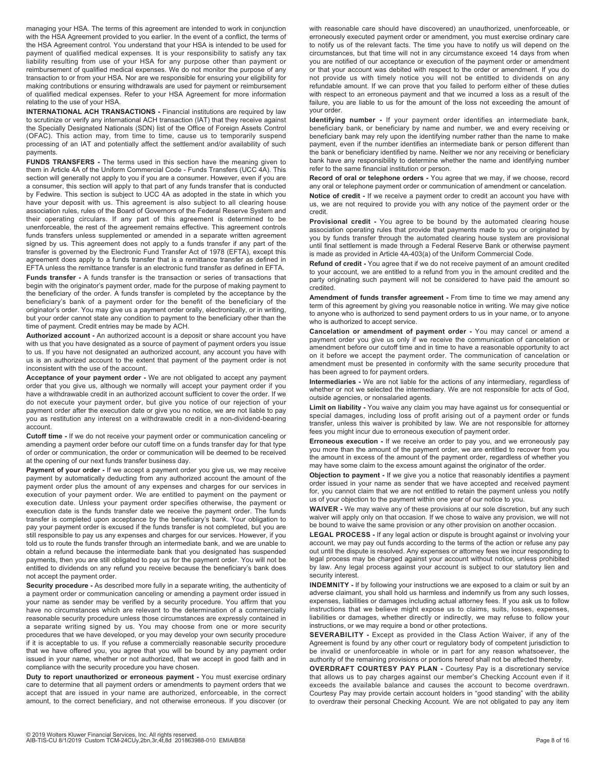managing your HSA. The terms of this agreement are intended to work in conjunction with the HSA Agreement provided to you earlier. In the event of a conflict, the terms of the HSA Agreement control. You understand that your HSA is intended to be used for payment of qualified medical expenses. It is your responsibility to satisfy any tax liability resulting from use of your HSA for any purpose other than payment or reimbursement of qualified medical expenses. We do not monitor the purpose of any transaction to or from your HSA. Nor are we responsible for ensuring your eligibility for making contributions or ensuring withdrawals are used for payment or reimbursement of qualified medical expenses. Refer to your HSA Agreement for more information relating to the use of your HSA.

**INTERNATIONAL ACH TRANSACTIONS -** Financial institutions are required by law to scrutinize or verify any international ACH transaction (IAT) that they receive against the Specially Designated Nationals (SDN) list of the Office of Foreign Assets Control (OFAC). This action may, from time to time, cause us to temporarily suspend processing of an IAT and potentially affect the settlement and/or availability of such payments.

**FUNDS TRANSFERS -** The terms used in this section have the meaning given to them in Article 4A of the Uniform Commercial Code - Funds Transfers (UCC 4A). This section will generally not apply to you if you are a consumer. However, even if you are a consumer, this section will apply to that part of any funds transfer that is conducted by Fedwire. This section is subject to UCC 4A as adopted in the state in which you have your deposit with us. This agreement is also subject to all clearing house association rules, rules of the Board of Governors of the Federal Reserve System and their operating circulars. If any part of this agreement is determined to be unenforceable, the rest of the agreement remains effective. This agreement controls funds transfers unless supplemented or amended in a separate written agreement signed by us. This agreement does not apply to a funds transfer if any part of the transfer is governed by the Electronic Fund Transfer Act of 1978 (EFTA), except this agreement does apply to a funds transfer that is a remittance transfer as defined in EFTA unless the remittance transfer is an electronic fund transfer as defined in EFTA.

**Funds transfer -** A funds transfer is the transaction or series of transactions that begin with the originator's payment order, made for the purpose of making payment to the beneficiary of the order. A funds transfer is completed by the acceptance by the beneficiary's bank of a payment order for the benefit of the beneficiary of the originator's order. You may give us a payment order orally, electronically, or in writing, but your order cannot state any condition to payment to the beneficiary other than the time of payment. Credit entries may be made by ACH.

**Authorized account -** An authorized account is a deposit or share account you have with us that you have designated as a source of payment of payment orders you issue to us. If you have not designated an authorized account, any account you have with us is an authorized account to the extent that payment of the payment order is not inconsistent with the use of the account.

**Acceptance of your payment order -** We are not obligated to accept any payment order that you give us, although we normally will accept your payment order if you have a withdrawable credit in an authorized account sufficient to cover the order. If we do not execute your payment order, but give you notice of our rejection of your payment order after the execution date or give you no notice, we are not liable to pay you as restitution any interest on a withdrawable credit in a non-dividend-bearing account.

**Cutoff time -** If we do not receive your payment order or communication canceling or amending a payment order before our cutoff time on a funds transfer day for that type of order or communication, the order or communication will be deemed to be received at the opening of our next funds transfer business day.

**Payment of your order -** If we accept a payment order you give us, we may receive payment by automatically deducting from any authorized account the amount of the payment order plus the amount of any expenses and charges for our services in execution of your payment order. We are entitled to payment on the payment or execution date. Unless your payment order specifies otherwise, the payment or execution date is the funds transfer date we receive the payment order. The funds transfer is completed upon acceptance by the beneficiary's bank. Your obligation to pay your payment order is excused if the funds transfer is not completed, but you are still responsible to pay us any expenses and charges for our services. However, if you told us to route the funds transfer through an intermediate bank, and we are unable to obtain a refund because the intermediate bank that you designated has suspended payments, then you are still obligated to pay us for the payment order. You will not be entitled to dividends on any refund you receive because the beneficiary's bank does not accept the payment order.

**Security procedure -** As described more fully in a separate writing, the authenticity of a payment order or communication canceling or amending a payment order issued in your name as sender may be verified by a security procedure. You affirm that you have no circumstances which are relevant to the determination of a commercially reasonable security procedure unless those circumstances are expressly contained in a separate writing signed by us. You may choose from one or more security procedures that we have developed, or you may develop your own security procedure if it is acceptable to us. If you refuse a commercially reasonable security procedure that we have offered you, you agree that you will be bound by any payment order issued in your name, whether or not authorized, that we accept in good faith and in compliance with the security procedure you have chosen.

**Duty to report unauthorized or erroneous payment -** You must exercise ordinary care to determine that all payment orders or amendments to payment orders that we accept that are issued in your name are authorized, enforceable, in the correct amount, to the correct beneficiary, and not otherwise erroneous. If you discover (or

with reasonable care should have discovered) an unauthorized, unenforceable, or erroneously executed payment order or amendment, you must exercise ordinary care to notify us of the relevant facts. The time you have to notify us will depend on the circumstances, but that time will not in any circumstance exceed 14 days from when you are notified of our acceptance or execution of the payment order or amendment or that your account was debited with respect to the order or amendment. If you do not provide us with timely notice you will not be entitled to dividends on any refundable amount. If we can prove that you failed to perform either of these duties with respect to an erroneous payment and that we incurred a loss as a result of the failure, you are liable to us for the amount of the loss not exceeding the amount of your order.

**Identifying number -** If your payment order identifies an intermediate bank, beneficiary bank, or beneficiary by name and number, we and every receiving or beneficiary bank may rely upon the identifying number rather than the name to make payment, even if the number identifies an intermediate bank or person different than the bank or beneficiary identified by name. Neither we nor any receiving or beneficiary bank have any responsibility to determine whether the name and identifying number refer to the same financial institution or person.

**Record of oral or telephone orders -** You agree that we may, if we choose, record any oral or telephone payment order or communication of amendment or cancelation.

**Notice of credit -** If we receive a payment order to credit an account you have with us, we are not required to provide you with any notice of the payment order or the credit.

**Provisional credit -** You agree to be bound by the automated clearing house association operating rules that provide that payments made to you or originated by you by funds transfer through the automated clearing house system are provisional until final settlement is made through a Federal Reserve Bank or otherwise payment is made as provided in Article 4A-403(a) of the Uniform Commercial Code.

**Refund of credit -** You agree that if we do not receive payment of an amount credited to your account, we are entitled to a refund from you in the amount credited and the party originating such payment will not be considered to have paid the amount so credited.

**Amendment of funds transfer agreement -** From time to time we may amend any term of this agreement by giving you reasonable notice in writing. We may give notice to anyone who is authorized to send payment orders to us in your name, or to anyone who is authorized to accept service.

**Cancelation or amendment of payment order -** You may cancel or amend a payment order you give us only if we receive the communication of cancelation or amendment before our cutoff time and in time to have a reasonable opportunity to act on it before we accept the payment order. The communication of cancelation or amendment must be presented in conformity with the same security procedure that has been agreed to for payment orders.

**Intermediaries -** We are not liable for the actions of any intermediary, regardless of whether or not we selected the intermediary. We are not responsible for acts of God, outside agencies, or nonsalaried agents.

**Limit on liability -** You waive any claim you may have against us for consequential or special damages, including loss of profit arising out of a payment order or funds transfer, unless this waiver is prohibited by law. We are not responsible for attorney fees you might incur due to erroneous execution of payment order.

**Erroneous execution -** If we receive an order to pay you, and we erroneously pay you more than the amount of the payment order, we are entitled to recover from you the amount in excess of the amount of the payment order, regardless of whether you may have some claim to the excess amount against the originator of the order.

**Objection to payment -** If we give you a notice that reasonably identifies a payment order issued in your name as sender that we have accepted and received payment for, you cannot claim that we are not entitled to retain the payment unless you notify us of your objection to the payment within one year of our notice to you.

**WAIVER -** We may waive any of these provisions at our sole discretion, but any such waiver will apply only on that occasion. If we chose to waive any provision, we will not be bound to waive the same provision or any other provision on another occasion.

**LEGAL PROCESS -** If any legal action or dispute is brought against or involving your account, we may pay out funds according to the terms of the action or refuse any pay out until the dispute is resolved. Any expenses or attorney fees we incur responding to legal process may be charged against your account without notice, unless prohibited by law. Any legal process against your account is subject to our statutory lien and security interest.

**INDEMNITY -** If by following your instructions we are exposed to a claim or suit by an adverse claimant, you shall hold us harmless and indemnify us from any such losses, expenses, liabilities or damages including actual attorney fees. If you ask us to follow instructions that we believe might expose us to claims, suits, losses, expenses, liabilities or damages, whether directly or indirectly, we may refuse to follow your instructions, or we may require a bond or other protections.

**SEVERABILITY -** Except as provided in the Class Action Waiver, if any of the Agreement is found by any other court or regulatory body of competent jurisdiction to be invalid or unenforceable in whole or in part for any reason whatsoever, the authority of the remaining provisions or portions hereof shall not be affected thereby.

**OVERDRAFT COURTESY PAY PLAN -** Courtesy Pay is a discretionary service that allows us to pay charges against our member's Checking Account even if it exceeds the available balance and causes the account to become overdrawn. Courtesy Pay may provide certain account holders in "good standing" with the ability to overdraw their personal Checking Account. We are not obligated to pay any item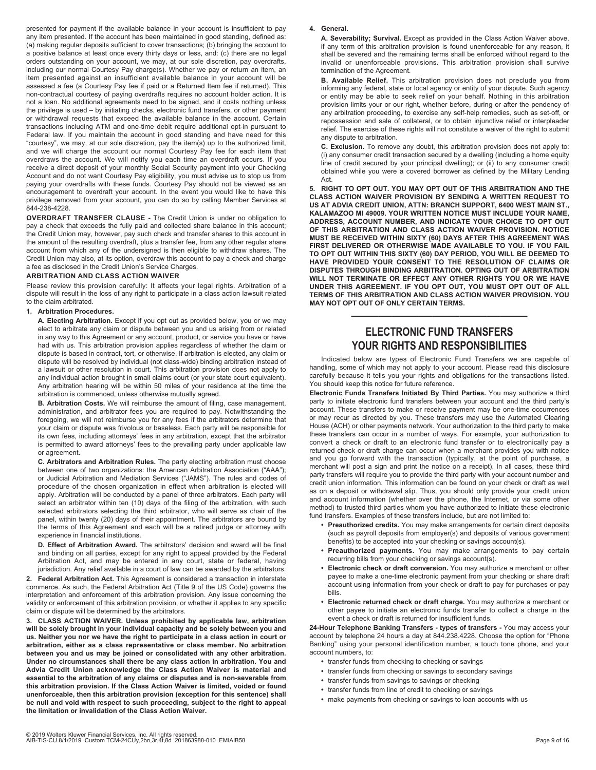presented for payment if the available balance in your account is insufficient to pay any item presented. If the account has been maintained in good standing, defined as: (a) making regular deposits sufficient to cover transactions; (b) bringing the account to a positive balance at least once every thirty days or less, and: (c) there are no legal orders outstanding on your account, we may, at our sole discretion, pay overdrafts, including our normal Courtesy Pay charge(s). Whether we pay or return an item, an item presented against an insufficient available balance in your account will be assessed a fee (a Courtesy Pay fee if paid or a Returned Item fee if returned). This non-contractual courtesy of paying overdrafts requires no account holder action. It is not a loan. No additional agreements need to be signed, and it costs nothing unless the privilege is used – by initiating checks, electronic fund transfers, or other payment or withdrawal requests that exceed the available balance in the account. Certain transactions including ATM and one-time debit require additional opt-in pursuant to Federal law. If you maintain the account in good standing and have need for this "courtesy", we may, at our sole discretion, pay the item(s) up to the authorized limit, and we will charge the account our normal Courtesy Pay fee for each item that overdraws the account. We will notify you each time an overdraft occurs. If you receive a direct deposit of your monthly Social Security payment into your Checking Account and do not want Courtesy Pay eligibility, you must advise us to stop us from paying your overdrafts with these funds. Courtesy Pay should not be viewed as an encouragement to overdraft your account. In the event you would like to have this privilege removed from your account, you can do so by calling Member Services at 844-238-4228.

**OVERDRAFT TRANSFER CLAUSE -** The Credit Union is under no obligation to pay a check that exceeds the fully paid and collected share balance in this account; the Credit Union may, however, pay such check and transfer shares to this account in the amount of the resulting overdraft, plus a transfer fee, from any other regular share account from which any of the undersigned is then eligible to withdraw shares. The Credit Union may also, at its option, overdraw this account to pay a check and charge a fee as disclosed in the Credit Union's Service Charges.

# **ARBITRATION AND CLASS ACTION WAIVER**

Please review this provision carefully: It affects your legal rights. Arbitration of a dispute will result in the loss of any right to participate in a class action lawsuit related to the claim arbitrated.

# **1. Arbitration Procedures.**

**A. Electing Arbitration.** Except if you opt out as provided below, you or we may elect to arbitrate any claim or dispute between you and us arising from or related in any way to this Agreement or any account, product, or service you have or have had with us. This arbitration provision applies regardless of whether the claim or dispute is based in contract, tort, or otherwise. If arbitration is elected, any claim or dispute will be resolved by individual (not class-wide) binding arbitration instead of a lawsuit or other resolution in court. This arbitration provision does not apply to any individual action brought in small claims court (or your state court equivalent). Any arbitration hearing will be within 50 miles of your residence at the time the arbitration is commenced, unless otherwise mutually agreed.

**B. Arbitration Costs.** We will reimburse the amount of filing, case management, administration, and arbitrator fees you are required to pay. Notwithstanding the foregoing, we will not reimburse you for any fees if the arbitrators determine that your claim or dispute was frivolous or baseless. Each party will be responsible for its own fees, including attorneys' fees in any arbitration, except that the arbitrator is permitted to award attorneys' fees to the prevailing party under applicable law or agreement.

**C. Arbitrators and Arbitration Rules.** The party electing arbitration must choose between one of two organizations: the American Arbitration Association ("AAA"); or Judicial Arbitration and Mediation Services ("JAMS"). The rules and codes of procedure of the chosen organization in effect when arbitration is elected will apply. Arbitration will be conducted by a panel of three arbitrators. Each party will select an arbitrator within ten (10) days of the filing of the arbitration, with such selected arbitrators selecting the third arbitrator, who will serve as chair of the panel, within twenty (20) days of their appointment. The arbitrators are bound by the terms of this Agreement and each will be a retired judge or attorney with experience in financial institutions.

**D. Effect of Arbitration Award.** The arbitrators' decision and award will be final and binding on all parties, except for any right to appeal provided by the Federal Arbitration Act, and may be entered in any court, state or federal, having jurisdiction. Any relief available in a court of law can be awarded by the arbitrators.

**2. Federal Arbitration Act.** This Agreement is considered a transaction in interstate commerce. As such, the Federal Arbitration Act (Title 9 of the US Code) governs the interpretation and enforcement of this arbitration provision. Any issue concerning the validity or enforcement of this arbitration provision, or whether it applies to any specific claim or dispute will be determined by the arbitrators.

**3. CLASS ACTION WAIVER. Unless prohibited by applicable law, arbitration will be solely brought in your individual capacity and be solely between you and us. Neither you nor we have the right to participate in a class action in court or arbitration, either as a class representative or class member. No arbitration between you and us may be joined or consolidated with any other arbitration. Under no circumstances shall there be any class action in arbitration. You and Advia Credit Union acknowledge the Class Action Waiver is material and essential to the arbitration of any claims or disputes and is non-severable from this arbitration provision. If the Class Action Waiver is limited, voided or found unenforceable, then this arbitration provision (exception for this sentence) shall be null and void with respect to such proceeding, subject to the right to appeal the limitation or invalidation of the Class Action Waiver.** 

#### **4. General.**

**A. Severability; Survival.** Except as provided in the Class Action Waiver above, if any term of this arbitration provision is found unenforceable for any reason, it shall be severed and the remaining terms shall be enforced without regard to the invalid or unenforceable provisions. This arbitration provision shall survive termination of the Agreement.

**B. Available Relief.** This arbitration provision does not preclude you from informing any federal, state or local agency or entity of your dispute. Such agency or entity may be able to seek relief on your behalf. Nothing in this arbitration provision limits your or our right, whether before, during or after the pendency of any arbitration proceeding, to exercise any self-help remedies, such as set-off, or repossession and sale of collateral, or to obtain injunctive relief or interpleader relief. The exercise of these rights will not constitute a waiver of the right to submit any dispute to arbitration.

**C. Exclusion.** To remove any doubt, this arbitration provision does not apply to: (i) any consumer credit transaction secured by a dwelling (including a home equity line of credit secured by your principal dwelling); or (ii) to any consumer credit obtained while you were a covered borrower as defined by the Military Lending **Act** 

**5. RIGHT TO OPT OUT. YOU MAY OPT OUT OF THIS ARBITRATION AND THE CLASS ACTION WAIVER PROVISION BY SENDING A WRITTEN REQUEST TO US AT ADVIA CREDIT UNION, ATTN: BRANCH SUPPORT, 6400 WEST MAIN ST., KALAMAZOO MI 49009. YOUR WRITTEN NOTICE MUST INCLUDE YOUR NAME, ADDRESS, ACCOUNT NUMBER, AND INDICATE YOUR CHOICE TO OPT OUT OF THIS ARBITRATION AND CLASS ACTION WAIVER PROVISION. NOTICE MUST BE RECEIVED WITHIN SIXTY (60) DAYS AFTER THIS AGREEMENT WAS FIRST DELIVERED OR OTHERWISE MADE AVAILABLE TO YOU. IF YOU FAIL TO OPT OUT WITHIN THIS SIXTY (60) DAY PERIOD, YOU WILL BE DEEMED TO HAVE PROVIDED YOUR CONSENT TO THE RESOLUTION OF CLAIMS OR DISPUTES THROUGH BINDING ARBITRATION. OPTING OUT OF ARBITRATION WILL NOT TERMINATE OR EFFECT ANY OTHER RIGHTS YOU OR WE HAVE UNDER THIS AGREEMENT. IF YOU OPT OUT, YOU MUST OPT OUT OF ALL TERMS OF THIS ARBITRATION AND CLASS ACTION WAIVER PROVISION. YOU MAY NOT OPT OUT OF ONLY CERTAIN TERMS.** 

# **ELECTRONIC FUND TRANSFERS YOUR RIGHTS AND RESPONSIBILITIES**

—————————————

Indicated below are types of Electronic Fund Transfers we are capable of handling, some of which may not apply to your account. Please read this disclosure carefully because it tells you your rights and obligations for the transactions listed. You should keep this notice for future reference.

**Electronic Funds Transfers Initiated By Third Parties.** You may authorize a third party to initiate electronic fund transfers between your account and the third party's account. These transfers to make or receive payment may be one-time occurrences or may recur as directed by you. These transfers may use the Automated Clearing House (ACH) or other payments network. Your authorization to the third party to make these transfers can occur in a number of ways. For example, your authorization to convert a check or draft to an electronic fund transfer or to electronically pay a returned check or draft charge can occur when a merchant provides you with notice and you go forward with the transaction (typically, at the point of purchase, a merchant will post a sign and print the notice on a receipt). In all cases, these third party transfers will require you to provide the third party with your account number and credit union information. This information can be found on your check or draft as well as on a deposit or withdrawal slip. Thus, you should only provide your credit union and account information (whether over the phone, the Internet, or via some other method) to trusted third parties whom you have authorized to initiate these electronic fund transfers. Examples of these transfers include, but are not limited to:

- **Preauthorized credits.** You may make arrangements for certain direct deposits (such as payroll deposits from employer(s) and deposits of various government benefits) to be accepted into your checking or savings account(s).
- **Preauthorized payments.** You may make arrangements to pay certain recurring bills from your checking or savings account(s).
- **Electronic check or draft conversion.** You may authorize a merchant or other payee to make a one-time electronic payment from your checking or share draft account using information from your check or draft to pay for purchases or pay bills.
- **Electronic returned check or draft charge.** You may authorize a merchant or other payee to initiate an electronic funds transfer to collect a charge in the event a check or draft is returned for insufficient funds.

**24-Hour Telephone Banking Transfers - types of transfers -** You may access your account by telephone 24 hours a day at 844.238.4228. Choose the option for "Phone Banking" using your personal identification number, a touch tone phone, and your account numbers, to:

- **•** transfer funds from checking to checking or savings
- **•** transfer funds from checking or savings to secondary savings
- **•** transfer funds from savings to savings or checking
- **•** transfer funds from line of credit to checking or savings
- **•** make payments from checking or savings to loan accounts with us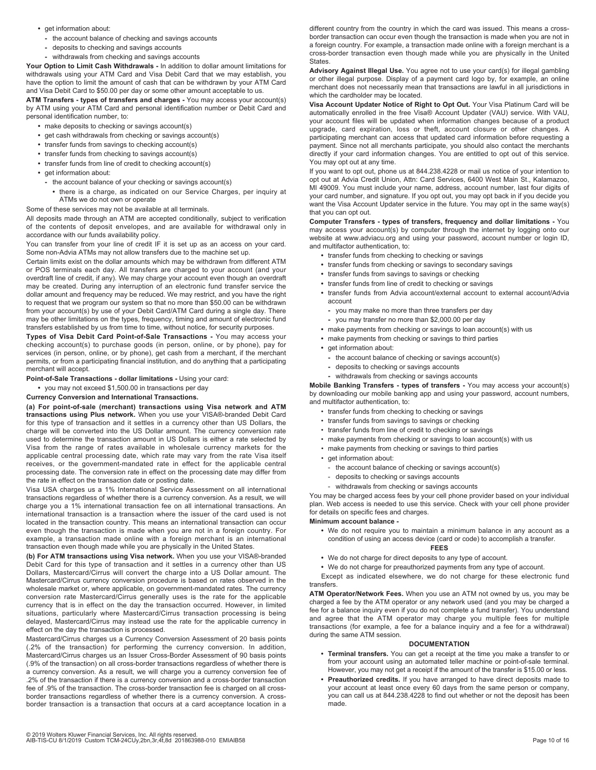- **•** get information about:
	- **-** the account balance of checking and savings accounts
	- **-** deposits to checking and savings accounts
	- **-** withdrawals from checking and savings accounts

**Your Option to Limit Cash Withdrawals -** In addition to dollar amount limitations for withdrawals using your ATM Card and Visa Debit Card that we may establish, you have the option to limit the amount of cash that can be withdrawn by your ATM Card and Visa Debit Card to \$50.00 per day or some other amount acceptable to us.

**ATM Transfers - types of transfers and charges -** You may access your account(s) by ATM using your ATM Card and personal identification number or Debit Card and personal identification number, to:

- **•** make deposits to checking or savings account(s)
- **•** get cash withdrawals from checking or savings account(s)
- **•** transfer funds from savings to checking account(s)
- **•** transfer funds from checking to savings account(s)
- **•** transfer funds from line of credit to checking account(s) **•** get information about:
- **-** the account balance of your checking or savings account(s)
	- **•** there is a charge, as indicated on our Service Charges, per inquiry at ATMs we do not own or operate

Some of these services may not be available at all terminals.

All deposits made through an ATM are accepted conditionally, subject to verification of the contents of deposit envelopes, and are available for withdrawal only in accordance with our funds availability policy.

You can transfer from your line of credit IF it is set up as an access on your card. Some non-Advia ATMs may not allow transfers due to the machine set up.

Certain limits exist on the dollar amounts which may be withdrawn from different ATM or POS terminals each day. All transfers are charged to your account (and your overdraft line of credit, if any). We may charge your account even though an overdraft may be created. During any interruption of an electronic fund transfer service the dollar amount and frequency may be reduced. We may restrict, and you have the right to request that we program our system so that no more than \$50.00 can be withdrawn from your account(s) by use of your Debit Card/ATM Card during a single day. There may be other limitations on the types, frequency, timing and amount of electronic fund transfers established by us from time to time, without notice, for security purposes.

**Types of Visa Debit Card Point-of-Sale Transactions -** You may access your checking account(s) to purchase goods (in person, online, or by phone), pay for services (in person, online, or by phone), get cash from a merchant, if the merchant permits, or from a participating financial institution, and do anything that a participating merchant will accept.

#### **Point-of-Sale Transactions - dollar limitations -** Using your card:

**•** you may not exceed \$1,500.00 in transactions per day

#### **Currency Conversion and International Transactions.**

**(a) For point-of-sale (merchant) transactions using Visa network and ATM transactions using Plus network.** When you use your VISA®-branded Debit Card for this type of transaction and it settles in a currency other than US Dollars, the charge will be converted into the US Dollar amount. The currency conversion rate used to determine the transaction amount in US Dollars is either a rate selected by Visa from the range of rates available in wholesale currency markets for the applicable central processing date, which rate may vary from the rate Visa itself receives, or the government-mandated rate in effect for the applicable central processing date. The conversion rate in effect on the processing date may differ from the rate in effect on the transaction date or posting date.

Visa USA charges us a 1% International Service Assessment on all international transactions regardless of whether there is a currency conversion. As a result, we will charge you a 1% international transaction fee on all international transactions. An international transaction is a transaction where the issuer of the card used is not located in the transaction country. This means an international transaction can occur even though the transaction is made when you are not in a foreign country. For example, a transaction made online with a foreign merchant is an international transaction even though made while you are physically in the United States.

**(b) For ATM transactions using Visa network.** When you use your VISA®-branded Debit Card for this type of transaction and it settles in a currency other than US Dollars, Mastercard/Cirrus will convert the charge into a US Dollar amount. The Mastercard/Cirrus currency conversion procedure is based on rates observed in the wholesale market or, where applicable, on government-mandated rates. The currency conversion rate Mastercard/Cirrus generally uses is the rate for the applicable currency that is in effect on the day the transaction occurred. However, in limited situations, particularly where Mastercard/Cirrus transaction processing is being delayed, Mastercard/Cirrus may instead use the rate for the applicable currency in effect on the day the transaction is processed.

Mastercard/Cirrus charges us a Currency Conversion Assessment of 20 basis points (.2% of the transaction) for performing the currency conversion. In addition, Mastercard/Cirrus charges us an Issuer Cross-Border Assessment of 90 basis points (.9% of the transaction) on all cross-border transactions regardless of whether there is a currency conversion. As a result, we will charge you a currency conversion fee of .2% of the transaction if there is a currency conversion and a cross-border transaction fee of .9% of the transaction. The cross-border transaction fee is charged on all crossborder transactions regardless of whether there is a currency conversion. A crossborder transaction is a transaction that occurs at a card acceptance location in a

different country from the country in which the card was issued. This means a crossborder transaction can occur even though the transaction is made when you are not in a foreign country. For example, a transaction made online with a foreign merchant is a cross-border transaction even though made while you are physically in the United States.

**Advisory Against Illegal Use.** You agree not to use your card(s) for illegal gambling or other illegal purpose. Display of a payment card logo by, for example, an online merchant does not necessarily mean that transactions are lawful in all jurisdictions in which the cardholder may be located.

**Visa Account Updater Notice of Right to Opt Out.** Your Visa Platinum Card will be automatically enrolled in the free Visa® Account Updater (VAU) service. With VAU, your account files will be updated when information changes because of a product upgrade, card expiration, loss or theft, account closure or other changes. A participating merchant can access that updated card information before requesting a payment. Since not all merchants participate, you should also contact the merchants directly if your card information changes. You are entitled to opt out of this service. You may opt out at any time.

If you want to opt out, phone us at 844.238.4228 or mail us notice of your intention to opt out at Advia Credit Union, Attn: Card Services, 6400 West Main St., Kalamazoo, MI 49009. You must include your name, address, account number, last four digits of your card number, and signature. If you opt out, you may opt back in if you decide you want the Visa Account Updater service in the future. You may opt in the same way(s) that you can opt out.

**Computer Transfers - types of transfers, frequency and dollar limitations -** You may access your account(s) by computer through the internet by logging onto our website at www.adviacu.org and using your password, account number or login ID, and multifactor authentication, to:

- **•** transfer funds from checking to checking or savings
- **•** transfer funds from checking or savings to secondary savings
- **•** transfer funds from savings to savings or checking
- **•** transfer funds from line of credit to checking or savings
- **•** transfer funds from Advia account/external account to external account/Advia account
	- **-** you may make no more than three transfers per day
	- **-** you may transfer no more than \$2,000.00 per day
- **•** make payments from checking or savings to loan account(s) with us
- **•** make payments from checking or savings to third parties
- **•** get information about:
	- **-** the account balance of checking or savings account(s)
	- **-** deposits to checking or savings accounts
	- **-** withdrawals from checking or savings accounts

**Mobile Banking Transfers - types of transfers -** You may access your account(s) by downloading our mobile banking app and using your password, account numbers, and multifactor authentication, to:

- transfer funds from checking to checking or savings
- transfer funds from savings to savings or checking
- transfer funds from line of credit to checking or savings
- make payments from checking or savings to loan account(s) with us
- make payments from checking or savings to third parties
- get information about:
	- the account balance of checking or savings account(s)
	- deposits to checking or savings accounts
	- withdrawals from checking or savings accounts

You may be charged access fees by your cell phone provider based on your individual plan. Web access is needed to use this service. Check with your cell phone provider for details on specific fees and charges.

#### **Minimum account balance -**

**•** We do not require you to maintain a minimum balance in any account as a condition of using an access device (card or code) to accomplish a transfer.

# **FEES**

- **•** We do not charge for direct deposits to any type of account.
- **•** We do not charge for preauthorized payments from any type of account.

Except as indicated elsewhere, we do not charge for these electronic fund transfers.

**ATM Operator/Network Fees.** When you use an ATM not owned by us, you may be charged a fee by the ATM operator or any network used (and you may be charged a fee for a balance inquiry even if you do not complete a fund transfer). You understand and agree that the ATM operator may charge you multiple fees for multiple transactions (for example, a fee for a balance inquiry and a fee for a withdrawal) during the same ATM session.

## **DOCUMENTATION**

- **Terminal transfers.** You can get a receipt at the time you make a transfer to or from your account using an automated teller machine or point-of-sale terminal. However, you may not get a receipt if the amount of the transfer is \$15.00 or less.
- **Preauthorized credits.** If you have arranged to have direct deposits made to your account at least once every 60 days from the same person or company, you can call us at 844.238.4228 to find out whether or not the deposit has been made.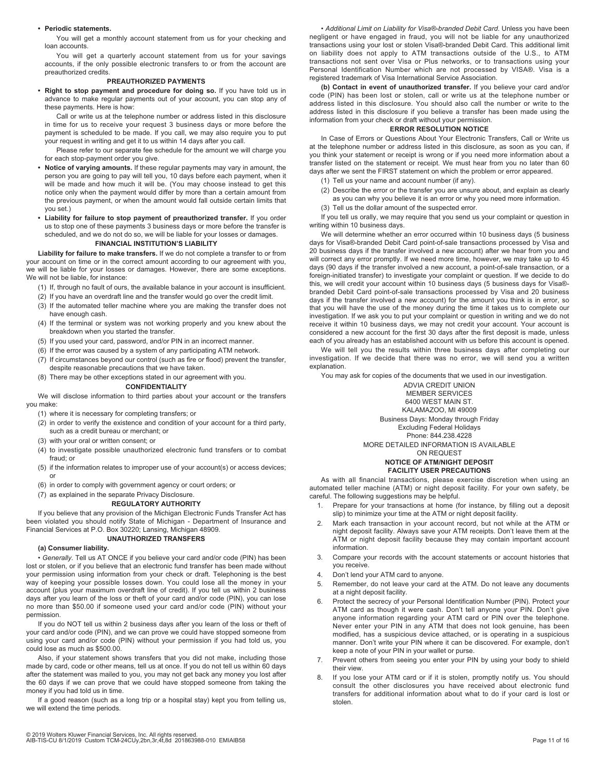#### **• Periodic statements.**

You will get a monthly account statement from us for your checking and loan accounts.

You will get a quarterly account statement from us for your savings accounts, if the only possible electronic transfers to or from the account are preauthorized credits.

# **PREAUTHORIZED PAYMENTS**

**• Right to stop payment and procedure for doing so.** If you have told us in advance to make regular payments out of your account, you can stop any of these payments. Here is how:

Call or write us at the telephone number or address listed in this disclosure in time for us to receive your request 3 business days or more before the payment is scheduled to be made. If you call, we may also require you to put your request in writing and get it to us within 14 days after you call.

- Please refer to our separate fee schedule for the amount we will charge you for each stop-payment order you give.
- **Notice of varying amounts.** If these regular payments may vary in amount, the person you are going to pay will tell you, 10 days before each payment, when it will be made and how much it will be. (You may choose instead to get this notice only when the payment would differ by more than a certain amount from the previous payment, or when the amount would fall outside certain limits that you set.)
- **Liability for failure to stop payment of preauthorized transfer.** If you order us to stop one of these payments 3 business days or more before the transfer is scheduled, and we do not do so, we will be liable for your losses or damages.

# **FINANCIAL INSTITUTION'S LIABILITY**

**Liability for failure to make transfers.** If we do not complete a transfer to or from your account on time or in the correct amount according to our agreement with you, we will be liable for your losses or damages. However, there are some exceptions. We will not be liable, for instance:

- (1) If, through no fault of ours, the available balance in your account is insufficient.
- (2) If you have an overdraft line and the transfer would go over the credit limit.
- (3) If the automated teller machine where you are making the transfer does not have enough cash.
- (4) If the terminal or system was not working properly and you knew about the breakdown when you started the transfer.
- (5) If you used your card, password, and/or PIN in an incorrect manner.
- (6) If the error was caused by a system of any participating ATM network.
- (7) If circumstances beyond our control (such as fire or flood) prevent the transfer, despite reasonable precautions that we have taken.
- (8) There may be other exceptions stated in our agreement with you.

#### **CONFIDENTIALITY**

We will disclose information to third parties about your account or the transfers you make:

- (1) where it is necessary for completing transfers; or
- (2) in order to verify the existence and condition of your account for a third party, such as a credit bureau or merchant; or
- (3) with your oral or written consent; or
- (4) to investigate possible unauthorized electronic fund transfers or to combat fraud; or
- (5) if the information relates to improper use of your account(s) or access devices; or
- (6) in order to comply with government agency or court orders; or

# (7) as explained in the separate Privacy Disclosure.

# **REGULATORY AUTHORITY**

If you believe that any provision of the Michigan Electronic Funds Transfer Act has been violated you should notify State of Michigan - Department of Insurance and Financial Services at P.O. Box 30220; Lansing, Michigan 48909.

# **UNAUTHORIZED TRANSFERS**

#### **(a) Consumer liability.**

*• Generally.* Tell us AT ONCE if you believe your card and/or code (PIN) has been lost or stolen, or if you believe that an electronic fund transfer has been made without your permission using information from your check or draft. Telephoning is the best way of keeping your possible losses down. You could lose all the money in your account (plus your maximum overdraft line of credit). If you tell us within 2 business days after you learn of the loss or theft of your card and/or code (PIN), you can lose no more than \$50.00 if someone used your card and/or code (PIN) without your permission.

If you do NOT tell us within 2 business days after you learn of the loss or theft of your card and/or code (PIN), and we can prove we could have stopped someone from using your card and/or code (PIN) without your permission if you had told us, you could lose as much as \$500.00.

Also, if your statement shows transfers that you did not make, including those made by card, code or other means, tell us at once. If you do not tell us within 60 days after the statement was mailed to you, you may not get back any money you lost after the 60 days if we can prove that we could have stopped someone from taking the money if you had told us in time.

If a good reason (such as a long trip or a hospital stay) kept you from telling us, we will extend the time periods.

*• Additional Limit on Liability for Visa®-branded Debit Card*. Unless you have been negligent or have engaged in fraud, you will not be liable for any unauthorized transactions using your lost or stolen Visa®-branded Debit Card. This additional limit on liability does not apply to ATM transactions outside of the U.S., to ATM transactions not sent over Visa or Plus networks, or to transactions using your Personal Identification Number which are not processed by VISA®. Visa is a registered trademark of Visa International Service Association.

**(b) Contact in event of unauthorized transfer.** If you believe your card and/or code (PIN) has been lost or stolen, call or write us at the telephone number or address listed in this disclosure. You should also call the number or write to the address listed in this disclosure if you believe a transfer has been made using the information from your check or draft without your permission.

# **ERROR RESOLUTION NOTICE**

In Case of Errors or Questions About Your Electronic Transfers, Call or Write us at the telephone number or address listed in this disclosure, as soon as you can, if you think your statement or receipt is wrong or if you need more information about a transfer listed on the statement or receipt. We must hear from you no later than 60 days after we sent the FIRST statement on which the problem or error appeared.

- (1) Tell us your name and account number (if any).
- (2) Describe the error or the transfer you are unsure about, and explain as clearly as you can why you believe it is an error or why you need more information.
- (3) Tell us the dollar amount of the suspected error.

If you tell us orally, we may require that you send us your complaint or question in writing within 10 business days.

We will determine whether an error occurred within 10 business days (5 business days for Visa®-branded Debit Card point-of-sale transactions processed by Visa and 20 business days if the transfer involved a new account) after we hear from you and will correct any error promptly. If we need more time, however, we may take up to 45 days (90 days if the transfer involved a new account, a point-of-sale transaction, or a foreign-initiated transfer) to investigate your complaint or question. If we decide to do this, we will credit your account within 10 business days (5 business days for Visa® branded Debit Card point-of-sale transactions processed by Visa and 20 business days if the transfer involved a new account) for the amount you think is in error, so that you will have the use of the money during the time it takes us to complete our investigation. If we ask you to put your complaint or question in writing and we do not receive it within 10 business days, we may not credit your account. Your account is considered a new account for the first 30 days after the first deposit is made, unless each of you already has an established account with us before this account is opened.

We will tell you the results within three business days after completing our investigation. If we decide that there was no error, we will send you a written explanation.

You may ask for copies of the documents that we used in our investigation.

ADVIA CREDIT UNION MEMBER SERVICES 6400 WEST MAIN ST. KALAMAZOO, MI 49009 Business Days: Monday through Friday Excluding Federal Holidays Phone: 844.238.4228 MORE DETAILED INFORMATION IS AVAILABLE ON REQUEST

#### **NOTICE OF ATM/NIGHT DEPOSIT FACILITY USER PRECAUTIONS**

As with all financial transactions, please exercise discretion when using an automated teller machine (ATM) or night deposit facility. For your own safety, be careful. The following suggestions may be helpful.

- 1. Prepare for your transactions at home (for instance, by filling out a deposit slip) to minimize your time at the ATM or night deposit facility.
- Mark each transaction in your account record, but not while at the ATM or night deposit facility. Always save your ATM receipts. Don't leave them at the ATM or night deposit facility because they may contain important account information.
- 3. Compare your records with the account statements or account histories that you receive.
- 4. Don't lend your ATM card to anyone.
- 5. Remember, do not leave your card at the ATM. Do not leave any documents at a night deposit facility.
- 6. Protect the secrecy of your Personal Identification Number (PIN). Protect your ATM card as though it were cash. Don't tell anyone your PIN. Don't give anyone information regarding your ATM card or PIN over the telephone. Never enter your PIN in any ATM that does not look genuine, has been modified, has a suspicious device attached, or is operating in a suspicious manner. Don't write your PIN where it can be discovered. For example, don't keep a note of your PIN in your wallet or purse.
- Prevent others from seeing you enter your PIN by using your body to shield their view.
- 8. If you lose your ATM card or if it is stolen, promptly notify us. You should consult the other disclosures you have received about electronic fund transfers for additional information about what to do if your card is lost or stolen.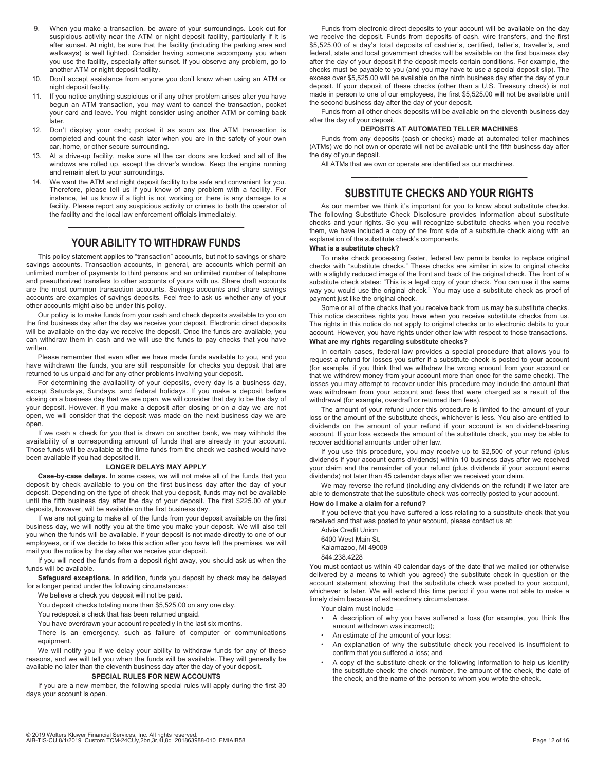- 9. When you make a transaction, be aware of your surroundings. Look out for suspicious activity near the ATM or night deposit facility, particularly if it is after sunset. At night, be sure that the facility (including the parking area and walkways) is well lighted. Consider having someone accompany you when you use the facility, especially after sunset. If you observe any problem, go to another ATM or night deposit facility.
- 10. Don't accept assistance from anyone you don't know when using an ATM or night deposit facility.
- 11. If you notice anything suspicious or if any other problem arises after you have begun an ATM transaction, you may want to cancel the transaction, pocket your card and leave. You might consider using another ATM or coming back later.
- 12. Don't display your cash; pocket it as soon as the ATM transaction is completed and count the cash later when you are in the safety of your own car, home, or other secure surrounding.
- 13. At a drive-up facility, make sure all the car doors are locked and all of the windows are rolled up, except the driver's window. Keep the engine running and remain alert to your surroundings.
- We want the ATM and night deposit facility to be safe and convenient for you. Therefore, please tell us if you know of any problem with a facility. For instance, let us know if a light is not working or there is any damage to a facility. Please report any suspicious activity or crimes to both the operator of the facility and the local law enforcement officials immediately.

# ————————————— **YOUR ABILITY TO WITHDRAW FUNDS**

This policy statement applies to "transaction" accounts, but not to savings or share savings accounts. Transaction accounts, in general, are accounts which permit an unlimited number of payments to third persons and an unlimited number of telephone and preauthorized transfers to other accounts of yours with us. Share draft accounts are the most common transaction accounts. Savings accounts and share savings accounts are examples of savings deposits. Feel free to ask us whether any of your other accounts might also be under this policy.

Our policy is to make funds from your cash and check deposits available to you on the first business day after the day we receive your deposit. Electronic direct deposits will be available on the day we receive the deposit. Once the funds are available, you can withdraw them in cash and we will use the funds to pay checks that you have written.

Please remember that even after we have made funds available to you, and you have withdrawn the funds, you are still responsible for checks you deposit that are returned to us unpaid and for any other problems involving your deposit.

For determining the availability of your deposits, every day is a business day, except Saturdays, Sundays, and federal holidays. If you make a deposit before closing on a business day that we are open, we will consider that day to be the day of your deposit. However, if you make a deposit after closing or on a day we are not open, we will consider that the deposit was made on the next business day we are open.

If we cash a check for you that is drawn on another bank, we may withhold the availability of a corresponding amount of funds that are already in your account. Those funds will be available at the time funds from the check we cashed would have been available if you had deposited it.

# **LONGER DELAYS MAY APPLY**

**Case-by-case delays.** In some cases, we will not make all of the funds that you deposit by check available to you on the first business day after the day of your deposit. Depending on the type of check that you deposit, funds may not be available until the fifth business day after the day of your deposit. The first \$225.00 of your deposits, however, will be available on the first business day.

If we are not going to make all of the funds from your deposit available on the first business day, we will notify you at the time you make your deposit. We will also tell you when the funds will be available. If your deposit is not made directly to one of our employees, or if we decide to take this action after you have left the premises, we will mail you the notice by the day after we receive your deposit.

If you will need the funds from a deposit right away, you should ask us when the funds will be available.

**Safeguard exceptions.** In addition, funds you deposit by check may be delayed for a longer period under the following circumstances:

We believe a check you deposit will not be paid.

You deposit checks totaling more than \$5,525.00 on any one day.

You redeposit a check that has been returned unpaid.

You have overdrawn your account repeatedly in the last six months.

There is an emergency, such as failure of computer or communications equipment.

We will notify you if we delay your ability to withdraw funds for any of these reasons, and we will tell you when the funds will be available. They will generally be available no later than the eleventh business day after the day of your deposit.

#### **SPECIAL RULES FOR NEW ACCOUNTS**

If you are a new member, the following special rules will apply during the first 30 days your account is open.

Funds from electronic direct deposits to your account will be available on the day we receive the deposit. Funds from deposits of cash, wire transfers, and the first \$5,525.00 of a day's total deposits of cashier's, certified, teller's, traveler's, and federal, state and local government checks will be available on the first business day after the day of your deposit if the deposit meets certain conditions. For example, the checks must be payable to you (and you may have to use a special deposit slip). The excess over \$5,525.00 will be available on the ninth business day after the day of your deposit. If your deposit of these checks (other than a U.S. Treasury check) is not made in person to one of our employees, the first \$5,525.00 will not be available until the second business day after the day of your deposit.

Funds from all other check deposits will be available on the eleventh business day after the day of your deposit.

#### **DEPOSITS AT AUTOMATED TELLER MACHINES**

Funds from any deposits (cash or checks) made at automated teller machines (ATMs) we do not own or operate will not be available until the fifth business day after the day of your deposit.

All ATMs that we own or operate are identified as our machines.

# ————————————— **SUBSTITUTE CHECKS AND YOUR RIGHTS**

As our member we think it's important for you to know about substitute checks. The following Substitute Check Disclosure provides information about substitute checks and your rights. So you will recognize substitute checks when you receive them, we have included a copy of the front side of a substitute check along with an explanation of the substitute check's components.

#### **What is a substitute check?**

To make check processing faster, federal law permits banks to replace original checks with "substitute checks." These checks are similar in size to original checks with a slightly reduced image of the front and back of the original check. The front of a substitute check states: "This is a legal copy of your check. You can use it the same way you would use the original check." You may use a substitute check as proof of payment just like the original check.

Some or all of the checks that you receive back from us may be substitute checks. This notice describes rights you have when you receive substitute checks from us. The rights in this notice do not apply to original checks or to electronic debits to your account. However, you have rights under other law with respect to those transactions. **What are my rights regarding substitute checks?** 

In certain cases, federal law provides a special procedure that allows you to request a refund for losses you suffer if a substitute check is posted to your account (for example, if you think that we withdrew the wrong amount from your account or that we withdrew money from your account more than once for the same check). The losses you may attempt to recover under this procedure may include the amount that was withdrawn from your account and fees that were charged as a result of the withdrawal (for example, overdraft or returned item fees).

The amount of your refund under this procedure is limited to the amount of your loss or the amount of the substitute check, whichever is less. You also are entitled to dividends on the amount of your refund if your account is an dividend-bearing account. If your loss exceeds the amount of the substitute check, you may be able to recover additional amounts under other law.

If you use this procedure, you may receive up to \$2,500 of your refund (plus dividends if your account earns dividends) within 10 business days after we received your claim and the remainder of your refund (plus dividends if your account earns dividends) not later than 45 calendar days after we received your claim.

We may reverse the refund (including any dividends on the refund) if we later are able to demonstrate that the substitute check was correctly posted to your account. **How do I make a claim for a refund?** 

If you believe that you have suffered a loss relating to a substitute check that you received and that was posted to your account, please contact us at:

Advia Credit Union 6400 West Main St. Kalamazoo, MI 49009 844.238.4228

You must contact us within 40 calendar days of the date that we mailed (or otherwise delivered by a means to which you agreed) the substitute check in question or the account statement showing that the substitute check was posted to your account, whichever is later. We will extend this time period if you were not able to make a timely claim because of extraordinary circumstances.

Your claim must include

- A description of why you have suffered a loss (for example, you think the amount withdrawn was incorrect);
- An estimate of the amount of your loss;
- An explanation of why the substitute check you received is insufficient to confirm that you suffered a loss; and
- A copy of the substitute check or the following information to help us identify the substitute check: the check number, the amount of the check, the date of the check, and the name of the person to whom you wrote the check.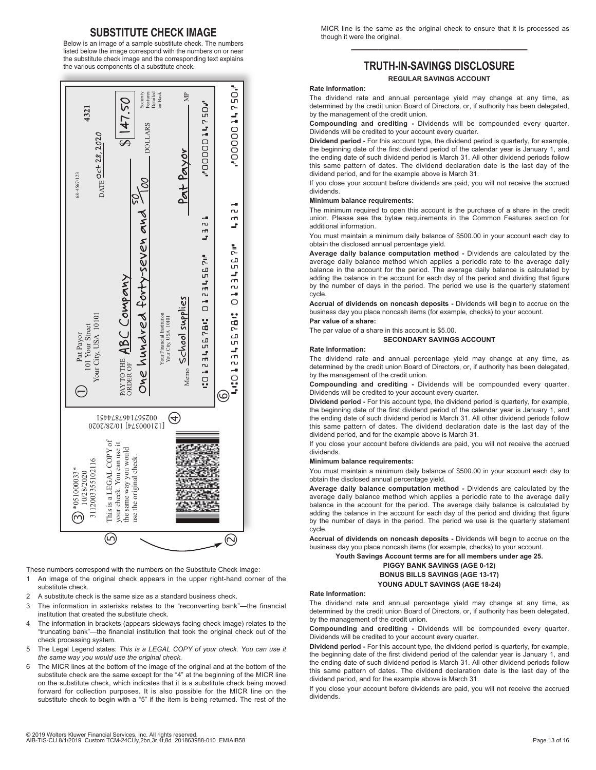# **SUBSTITUTE CHECK IMAGE**

Below is an image of a sample substitute check. The numbers listed below the image correspond with the numbers on or near the substitute check image and the corresponding text explains the various components of a substitute check.



These numbers correspond with the numbers on the Substitute Check Image:

- 1 An image of the original check appears in the upper right-hand corner of the substitute check.
- 2 A substitute check is the same size as a standard business check.
- 3 The information in asterisks relates to the "reconverting bank"—the financial institution that created the substitute check.
- 4 The information in brackets (appears sideways facing check image) relates to the "truncating bank"—the financial institution that took the original check out of the check processing system.
- 5 The Legal Legend states: *This is a LEGAL COPY of your check. You can use it the same way you would use the original check.*
- 6 The MICR lines at the bottom of the image of the original and at the bottom of the substitute check are the same except for the "4" at the beginning of the MICR line on the substitute check, which indicates that it is a substitute check being moved forward for collection purposes. It is also possible for the MICR line on the substitute check to begin with a "5" if the item is being returned. The rest of the

MICR line is the same as the original check to ensure that it is processed as though it were the original.

# ————————————— **TRUTH-IN-SAVINGS DISCLOSURE**

# **REGULAR SAVINGS ACCOUNT**

#### **Rate Information:**

The dividend rate and annual percentage yield may change at any time, as determined by the credit union Board of Directors, or, if authority has been delegated, by the management of the credit union.

**Compounding and crediting -** Dividends will be compounded every quarter. Dividends will be credited to your account every quarter.

**Dividend period -** For this account type, the dividend period is quarterly, for example, the beginning date of the first dividend period of the calendar year is January 1, and the ending date of such dividend period is March 31. All other dividend periods follow this same pattern of dates. The dividend declaration date is the last day of the dividend period, and for the example above is March 31.

If you close your account before dividends are paid, you will not receive the accrued dividends.

# **Minimum balance requirements:**

The minimum required to open this account is the purchase of a share in the credit union. Please see the bylaw requirements in the Common Features section for additional information.

You must maintain a minimum daily balance of \$500.00 in your account each day to obtain the disclosed annual percentage yield.

**Average daily balance computation method -** Dividends are calculated by the average daily balance method which applies a periodic rate to the average daily balance in the account for the period. The average daily balance is calculated by adding the balance in the account for each day of the period and dividing that figure by the number of days in the period. The period we use is the quarterly statement cycle.

**Accrual of dividends on noncash deposits -** Dividends will begin to accrue on the business day you place noncash items (for example, checks) to your account. **Par value of a share:**

The par value of a share in this account is \$5.00.

#### **SECONDARY SAVINGS ACCOUNT**

#### **Rate Information:**

The dividend rate and annual percentage yield may change at any time, as determined by the credit union Board of Directors, or, if authority has been delegated, by the management of the credit union.

**Compounding and crediting -** Dividends will be compounded every quarter. Dividends will be credited to your account every quarter.

**Dividend period -** For this account type, the dividend period is quarterly, for example, the beginning date of the first dividend period of the calendar year is January 1, and the ending date of such dividend period is March 31. All other dividend periods follow this same pattern of dates. The dividend declaration date is the last day of the dividend period, and for the example above is March 31.

If you close your account before dividends are paid, you will not receive the accrued dividends.

#### **Minimum balance requirements:**

You must maintain a minimum daily balance of \$500.00 in your account each day to obtain the disclosed annual percentage yield.

**Average daily balance computation method -** Dividends are calculated by the average daily balance method which applies a periodic rate to the average daily balance in the account for the period. The average daily balance is calculated by adding the balance in the account for each day of the period and dividing that figure by the number of days in the period. The period we use is the quarterly statement cycle.

**Accrual of dividends on noncash deposits -** Dividends will begin to accrue on the business day you place noncash items (for example, checks) to your account.

**Youth Savings Account terms are for all members under age 25.** 

#### **PIGGY BANK SAVINGS (AGE 0-12) BONUS BILLS SAVINGS (AGE 13-17) YOUNG ADULT SAVINGS (AGE 18-24)**

### **Rate Information:**

The dividend rate and annual percentage yield may change at any time, as determined by the credit union Board of Directors, or, if authority has been delegated, by the management of the credit union.

**Compounding and crediting -** Dividends will be compounded every quarter. Dividends will be credited to your account every quarter.

**Dividend period -** For this account type, the dividend period is quarterly, for example, the beginning date of the first dividend period of the calendar year is January 1, and the ending date of such dividend period is March 31. All other dividend periods follow this same pattern of dates. The dividend declaration date is the last day of the dividend period, and for the example above is March 31.

If you close your account before dividends are paid, you will not receive the accrued dividends.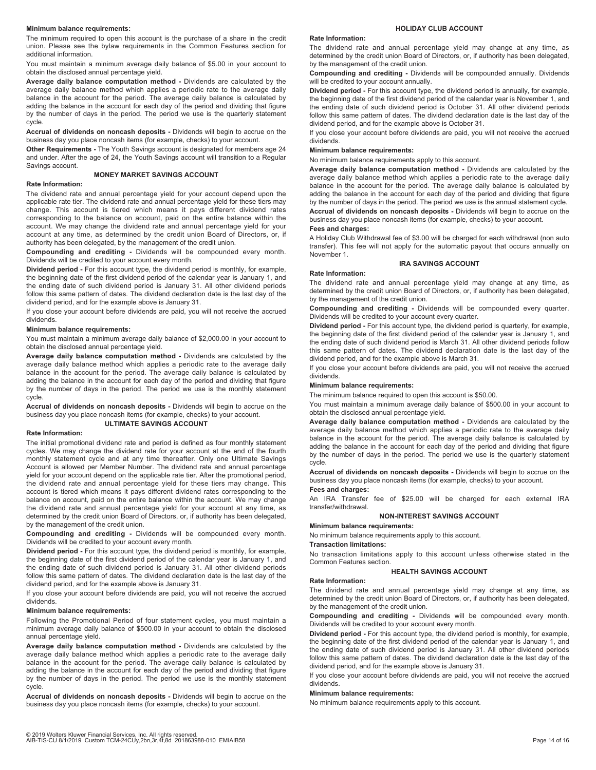#### **Minimum balance requirements:**

The minimum required to open this account is the purchase of a share in the credit union. Please see the bylaw requirements in the Common Features section for additional information.

You must maintain a minimum average daily balance of \$5.00 in your account to obtain the disclosed annual percentage yield.

**Average daily balance computation method -** Dividends are calculated by the average daily balance method which applies a periodic rate to the average daily balance in the account for the period. The average daily balance is calculated by adding the balance in the account for each day of the period and dividing that figure by the number of days in the period. The period we use is the quarterly statement cycle.

**Accrual of dividends on noncash deposits -** Dividends will begin to accrue on the business day you place noncash items (for example, checks) to your account.

**Other Requirements -** The Youth Savings account is designated for members age 24 and under. After the age of 24, the Youth Savings account will transition to a Regular Savings account.

#### **MONEY MARKET SAVINGS ACCOUNT**

# **Rate Information:**

The dividend rate and annual percentage yield for your account depend upon the applicable rate tier. The dividend rate and annual percentage yield for these tiers may change. This account is tiered which means it pays different dividend rates corresponding to the balance on account, paid on the entire balance within the account. We may change the dividend rate and annual percentage yield for your account at any time, as determined by the credit union Board of Directors, or, if authority has been delegated, by the management of the credit union.

**Compounding and crediting -** Dividends will be compounded every month. Dividends will be credited to your account every month.

**Dividend period -** For this account type, the dividend period is monthly, for example, the beginning date of the first dividend period of the calendar year is January 1, and the ending date of such dividend period is January 31. All other dividend periods follow this same pattern of dates. The dividend declaration date is the last day of the dividend period, and for the example above is January 31.

If you close your account before dividends are paid, you will not receive the accrued dividends.

# **Minimum balance requirements:**

You must maintain a minimum average daily balance of \$2,000.00 in your account to obtain the disclosed annual percentage yield.

**Average daily balance computation method -** Dividends are calculated by the average daily balance method which applies a periodic rate to the average daily balance in the account for the period. The average daily balance is calculated by adding the balance in the account for each day of the period and dividing that figure by the number of days in the period. The period we use is the monthly statement cycle.

**Accrual of dividends on noncash deposits -** Dividends will begin to accrue on the business day you place noncash items (for example, checks) to your account.

# **ULTIMATE SAVINGS ACCOUNT**

# **Rate Information:**

The initial promotional dividend rate and period is defined as four monthly statement cycles. We may change the dividend rate for your account at the end of the fourth monthly statement cycle and at any time thereafter. Only one Ultimate Savings Account is allowed per Member Number. The dividend rate and annual percentage yield for your account depend on the applicable rate tier. After the promotional period, the dividend rate and annual percentage yield for these tiers may change. This account is tiered which means it pays different dividend rates corresponding to the balance on account, paid on the entire balance within the account. We may change the dividend rate and annual percentage yield for your account at any time, as determined by the credit union Board of Directors, or, if authority has been delegated, by the management of the credit union.

**Compounding and crediting -** Dividends will be compounded every month. Dividends will be credited to your account every month.

**Dividend period -** For this account type, the dividend period is monthly, for example, the beginning date of the first dividend period of the calendar year is January 1, and the ending date of such dividend period is January 31. All other dividend periods follow this same pattern of dates. The dividend declaration date is the last day of the dividend period, and for the example above is January 31.

If you close your account before dividends are paid, you will not receive the accrued dividends.

#### **Minimum balance requirements:**

Following the Promotional Period of four statement cycles, you must maintain a minimum average daily balance of \$500.00 in your account to obtain the disclosed annual percentage yield.

**Average daily balance computation method -** Dividends are calculated by the average daily balance method which applies a periodic rate to the average daily balance in the account for the period. The average daily balance is calculated by adding the balance in the account for each day of the period and dividing that figure by the number of days in the period. The period we use is the monthly statement cycle.

**Accrual of dividends on noncash deposits -** Dividends will begin to accrue on the business day you place noncash items (for example, checks) to your account.

#### **HOLIDAY CLUB ACCOUNT**

# **Rate Information:**

The dividend rate and annual percentage yield may change at any time, as determined by the credit union Board of Directors, or, if authority has been delegated, by the management of the credit union.

**Compounding and crediting -** Dividends will be compounded annually. Dividends will be credited to your account annually.

**Dividend period -** For this account type, the dividend period is annually, for example, the beginning date of the first dividend period of the calendar year is November 1, and the ending date of such dividend period is October 31. All other dividend periods follow this same pattern of dates. The dividend declaration date is the last day of the dividend period, and for the example above is October 31.

If you close your account before dividends are paid, you will not receive the accrued dividends.

# **Minimum balance requirements:**

No minimum balance requirements apply to this account.

**Average daily balance computation method -** Dividends are calculated by the average daily balance method which applies a periodic rate to the average daily balance in the account for the period. The average daily balance is calculated by adding the balance in the account for each day of the period and dividing that figure by the number of days in the period. The period we use is the annual statement cycle. **Accrual of dividends on noncash deposits -** Dividends will begin to accrue on the business day you place noncash items (for example, checks) to your account.

# **Fees and charges:**

A Holiday Club Withdrawal fee of \$3.00 will be charged for each withdrawal (non auto transfer). This fee will not apply for the automatic payout that occurs annually on November 1.

#### **IRA SAVINGS ACCOUNT**

#### **Rate Information:**

The dividend rate and annual percentage yield may change at any time, as determined by the credit union Board of Directors, or, if authority has been delegated, by the management of the credit union.

**Compounding and crediting -** Dividends will be compounded every quarter. Dividends will be credited to your account every quarter.

**Dividend period -** For this account type, the dividend period is quarterly, for example, the beginning date of the first dividend period of the calendar year is January 1, and the ending date of such dividend period is March 31. All other dividend periods follow this same pattern of dates. The dividend declaration date is the last day of the dividend period, and for the example above is March 31.

If you close your account before dividends are paid, you will not receive the accrued dividends.

# **Minimum balance requirements:**

The minimum balance required to open this account is \$50.00.

You must maintain a minimum average daily balance of \$500.00 in your account to obtain the disclosed annual percentage yield.

**Average daily balance computation method -** Dividends are calculated by the average daily balance method which applies a periodic rate to the average daily balance in the account for the period. The average daily balance is calculated by adding the balance in the account for each day of the period and dividing that figure by the number of days in the period. The period we use is the quarterly statement cycle.

**Accrual of dividends on noncash deposits -** Dividends will begin to accrue on the business day you place noncash items (for example, checks) to your account.

# **Fees and charges:**

An IRA Transfer fee of \$25.00 will be charged for each external IRA transfer/withdrawal.

#### **NON-INTEREST SAVINGS ACCOUNT**

#### **Minimum balance requirements:**

No minimum balance requirements apply to this account.

#### **Transaction limitations:**

No transaction limitations apply to this account unless otherwise stated in the Common Features section.

#### **HEALTH SAVINGS ACCOUNT**

# **Rate Information:**

The dividend rate and annual percentage yield may change at any time, as determined by the credit union Board of Directors, or, if authority has been delegated, by the management of the credit union.

**Compounding and crediting -** Dividends will be compounded every month. Dividends will be credited to your account every month.

**Dividend period -** For this account type, the dividend period is monthly, for example, the beginning date of the first dividend period of the calendar year is January 1, and the ending date of such dividend period is January 31. All other dividend periods follow this same pattern of dates. The dividend declaration date is the last day of the dividend period, and for the example above is January 31.

If you close your account before dividends are paid, you will not receive the accrued dividends.

#### **Minimum balance requirements:**

No minimum balance requirements apply to this account.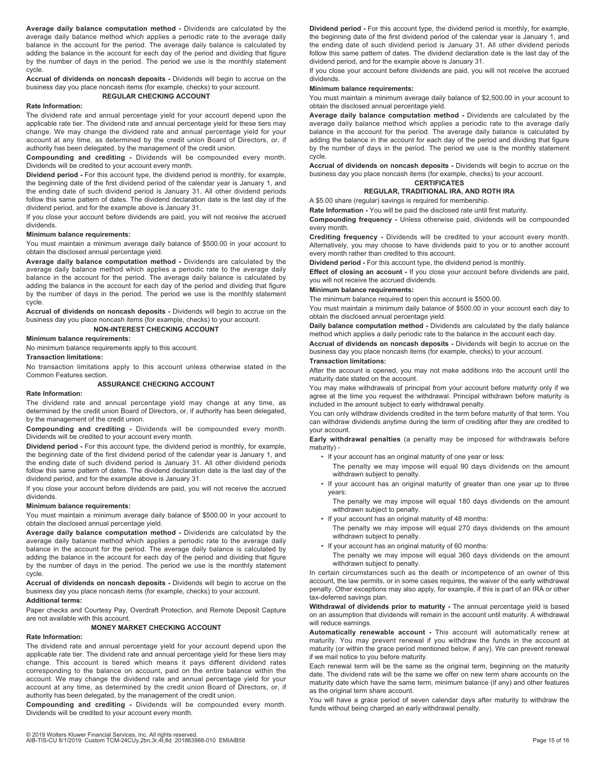**Average daily balance computation method -** Dividends are calculated by the average daily balance method which applies a periodic rate to the average daily balance in the account for the period. The average daily balance is calculated by adding the balance in the account for each day of the period and dividing that figure by the number of days in the period. The period we use is the monthly statement cycle.

**Accrual of dividends on noncash deposits -** Dividends will begin to accrue on the business day you place noncash items (for example, checks) to your account.

# **REGULAR CHECKING ACCOUNT**

# **Rate Information:**

The dividend rate and annual percentage yield for your account depend upon the applicable rate tier. The dividend rate and annual percentage yield for these tiers may change. We may change the dividend rate and annual percentage yield for your account at any time, as determined by the credit union Board of Directors, or, if authority has been delegated, by the management of the credit union.

**Compounding and crediting -** Dividends will be compounded every month. Dividends will be credited to your account every month.

**Dividend period -** For this account type, the dividend period is monthly, for example, the beginning date of the first dividend period of the calendar year is January 1, and the ending date of such dividend period is January 31. All other dividend periods follow this same pattern of dates. The dividend declaration date is the last day of the dividend period, and for the example above is January 31.

If you close your account before dividends are paid, you will not receive the accrued dividends.

# **Minimum balance requirements:**

You must maintain a minimum average daily balance of \$500.00 in your account to obtain the disclosed annual percentage yield.

**Average daily balance computation method -** Dividends are calculated by the average daily balance method which applies a periodic rate to the average daily balance in the account for the period. The average daily balance is calculated by adding the balance in the account for each day of the period and dividing that figure by the number of days in the period. The period we use is the monthly statement cycle.

**Accrual of dividends on noncash deposits -** Dividends will begin to accrue on the business day you place noncash items (for example, checks) to your account.

**NON-INTEREST CHECKING ACCOUNT** 

#### **Minimum balance requirements:**

No minimum balance requirements apply to this account.

#### **Transaction limitations:**

No transaction limitations apply to this account unless otherwise stated in the Common Features section.

#### **ASSURANCE CHECKING ACCOUNT Rate Information:**

The dividend rate and annual percentage yield may change at any time, as determined by the credit union Board of Directors, or, if authority has been delegated, by the management of the credit union.

**Compounding and crediting -** Dividends will be compounded every month. Dividends will be credited to your account every month.

**Dividend period -** For this account type, the dividend period is monthly, for example, the beginning date of the first dividend period of the calendar year is January 1, and the ending date of such dividend period is January 31. All other dividend periods follow this same pattern of dates. The dividend declaration date is the last day of the dividend period, and for the example above is January 31.

If you close your account before dividends are paid, you will not receive the accrued dividends.

#### **Minimum balance requirements:**

You must maintain a minimum average daily balance of \$500.00 in your account to obtain the disclosed annual percentage yield.

**Average daily balance computation method -** Dividends are calculated by the average daily balance method which applies a periodic rate to the average daily balance in the account for the period. The average daily balance is calculated by adding the balance in the account for each day of the period and dividing that figure by the number of days in the period. The period we use is the monthly statement cycle.

**Accrual of dividends on noncash deposits -** Dividends will begin to accrue on the business day you place noncash items (for example, checks) to your account.

#### **Additional terms:**

Paper checks and Courtesy Pay, Overdraft Protection, and Remote Deposit Capture are not available with this account.

# **MONEY MARKET CHECKING ACCOUNT**

# **Rate Information:**

The dividend rate and annual percentage yield for your account depend upon the applicable rate tier. The dividend rate and annual percentage yield for these tiers may change. This account is tiered which means it pays different dividend rates corresponding to the balance on account, paid on the entire balance within the account. We may change the dividend rate and annual percentage yield for your account at any time, as determined by the credit union Board of Directors, or, if authority has been delegated, by the management of the credit union.

**Compounding and crediting -** Dividends will be compounded every month. Dividends will be credited to your account every month.

**Dividend period -** For this account type, the dividend period is monthly, for example, the beginning date of the first dividend period of the calendar year is January 1, and the ending date of such dividend period is January 31. All other dividend periods follow this same pattern of dates. The dividend declaration date is the last day of the dividend period, and for the example above is January 31.

If you close your account before dividends are paid, you will not receive the accrued dividends.

#### **Minimum balance requirements:**

You must maintain a minimum average daily balance of \$2,500.00 in your account to obtain the disclosed annual percentage yield.

**Average daily balance computation method -** Dividends are calculated by the average daily balance method which applies a periodic rate to the average daily balance in the account for the period. The average daily balance is calculated by adding the balance in the account for each day of the period and dividing that figure by the number of days in the period. The period we use is the monthly statement cycle.

**Accrual of dividends on noncash deposits -** Dividends will begin to accrue on the business day you place noncash items (for example, checks) to your account.

# **CERTIFICATES**

**REGULAR, TRADITIONAL IRA, AND ROTH IRA** 

A \$5.00 share (regular) savings is required for membership. **Rate Information -** You will be paid the disclosed rate until first maturity.

**Compounding frequency -** Unless otherwise paid, dividends will be compounded every month.

**Crediting frequency -** Dividends will be credited to your account every month. Alternatively, you may choose to have dividends paid to you or to another account every month rather than credited to this account.

**Dividend period -** For this account type, the dividend period is monthly.

**Effect of closing an account -** If you close your account before dividends are paid, you will not receive the accrued dividends.

# **Minimum balance requirements:**

The minimum balance required to open this account is \$500.00.

You must maintain a minimum daily balance of \$500.00 in your account each day to obtain the disclosed annual percentage yield.

**Daily balance computation method -** Dividends are calculated by the daily balance method which applies a daily periodic rate to the balance in the account each day.

**Accrual of dividends on noncash deposits -** Dividends will begin to accrue on the business day you place noncash items (for example, checks) to your account.

## **Transaction limitations:**

After the account is opened, you may not make additions into the account until the maturity date stated on the account.

You may make withdrawals of principal from your account before maturity only if we agree at the time you request the withdrawal. Principal withdrawn before maturity is included in the amount subject to early withdrawal penalty.

You can only withdraw dividends credited in the term before maturity of that term. You can withdraw dividends anytime during the term of crediting after they are credited to your account.

**Early withdrawal penalties** (a penalty may be imposed for withdrawals before maturity) -

- If your account has an original maturity of one year or less:
	- The penalty we may impose will equal 90 days dividends on the amount withdrawn subject to penalty.
- If your account has an original maturity of greater than one year up to three years:

The penalty we may impose will equal 180 days dividends on the amount withdrawn subject to penalty.

• If your account has an original maturity of 48 months:

The penalty we may impose will equal 270 days dividends on the amount withdrawn subject to penalty.

• If your account has an original maturity of 60 months:

The penalty we may impose will equal 360 days dividends on the amount withdrawn subject to penalty.

In certain circumstances such as the death or incompetence of an owner of this account, the law permits, or in some cases requires, the waiver of the early withdrawal penalty. Other exceptions may also apply, for example, if this is part of an IRA or other tax-deferred savings plan.

**Withdrawal of dividends prior to maturity -** The annual percentage yield is based on an assumption that dividends will remain in the account until maturity. A withdrawal will reduce earnings.

**Automatically renewable account -** This account will automatically renew at maturity. You may prevent renewal if you withdraw the funds in the account at maturity (or within the grace period mentioned below, if any). We can prevent renewal if we mail notice to you before maturity.

Each renewal term will be the same as the original term, beginning on the maturity date. The dividend rate will be the same we offer on new term share accounts on the maturity date which have the same term, minimum balance (if any) and other features as the original term share account.

You will have a grace period of seven calendar days after maturity to withdraw the funds without being charged an early withdrawal penalty.